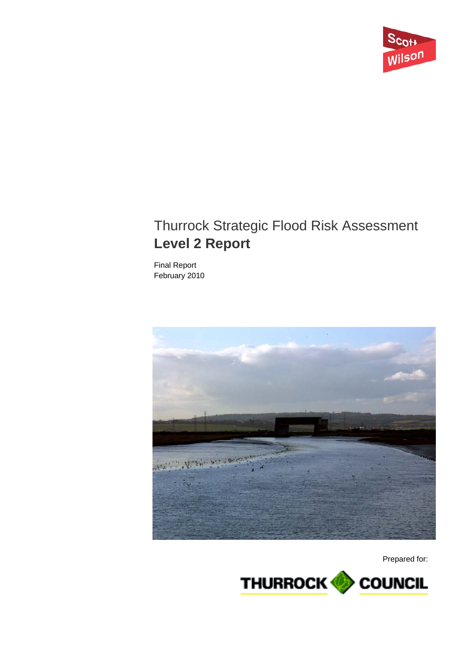

# Thurrock Strategic Flood Risk Assessment **Level 2 Report**

Final Report February 2010



Prepared for:

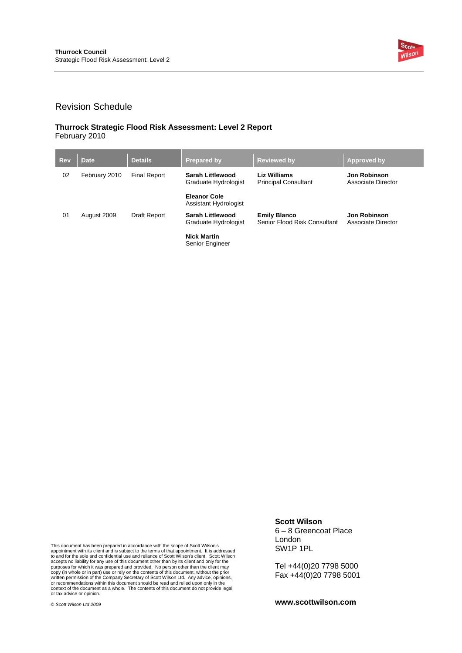

### Revision Schedule

#### **Thurrock Strategic Flood Risk Assessment: Level 2 Report**  February 2010

| <b>Rev</b> | <b>Date</b>   | <b>Details</b>      | <b>Prepared by</b>                              | <b>Reviewed by</b>                                  | Approved by                               |
|------------|---------------|---------------------|-------------------------------------------------|-----------------------------------------------------|-------------------------------------------|
| 02         | February 2010 | <b>Final Report</b> | <b>Sarah Littlewood</b><br>Graduate Hydrologist | Liz Williams<br><b>Principal Consultant</b>         | Jon Robinson<br>Associate Director        |
|            |               |                     | <b>Eleanor Cole</b><br>Assistant Hydrologist    |                                                     |                                           |
| 01         | August 2009   | Draft Report        | <b>Sarah Littlewood</b><br>Graduate Hydrologist | <b>Emily Blanco</b><br>Senior Flood Risk Consultant | <b>Jon Robinson</b><br>Associate Director |
|            |               |                     | <b>Nick Martin</b><br><b>Senior Engineer</b>    |                                                     |                                           |

This document has been prepared in accordance with the scope of Scott Wilson's appointment with its client and is subject to the terms of that appointment. It is addressed to and for the sole and confidential use and reliance of Scott Wilson's client. Scott Wilson<br>accepts no liability for any use of this document other than by its client and only for the<br>purposes for which it was prepared an  $\ddot{\cdot}$ 

### **Scott Wilson**

6 – 8 Greencoat Place London SW1P 1PL

Tel +44(0)20 7798 5000 Fax +44(0)20 7798 5001

**www.scottwilson.com**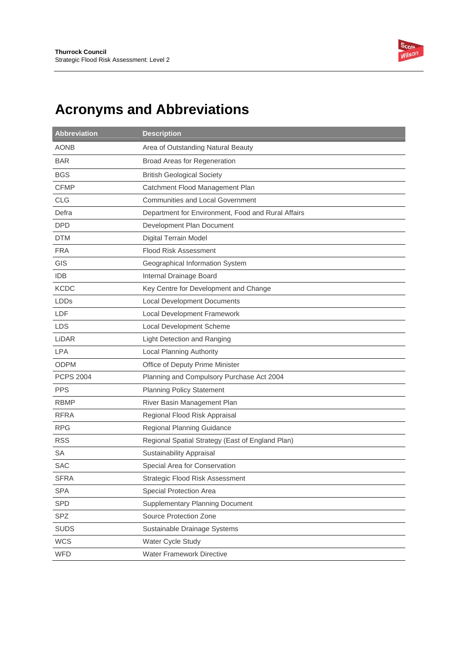

# **Acronyms and Abbreviations**

| <b>Abbreviation</b> | <b>Description</b>                                 |
|---------------------|----------------------------------------------------|
| <b>AONB</b>         | Area of Outstanding Natural Beauty                 |
| <b>BAR</b>          | Broad Areas for Regeneration                       |
| <b>BGS</b>          | <b>British Geological Society</b>                  |
| <b>CFMP</b>         | Catchment Flood Management Plan                    |
| <b>CLG</b>          | <b>Communities and Local Government</b>            |
| Defra               | Department for Environment, Food and Rural Affairs |
| <b>DPD</b>          | Development Plan Document                          |
| <b>DTM</b>          | <b>Digital Terrain Model</b>                       |
| <b>FRA</b>          | <b>Flood Risk Assessment</b>                       |
| GIS                 | Geographical Information System                    |
| <b>IDB</b>          | Internal Drainage Board                            |
| <b>KCDC</b>         | Key Centre for Development and Change              |
| <b>LDDs</b>         | <b>Local Development Documents</b>                 |
| LDF                 | Local Development Framework                        |
| LDS                 | Local Development Scheme                           |
| LiDAR               | <b>Light Detection and Ranging</b>                 |
| <b>LPA</b>          | <b>Local Planning Authority</b>                    |
| <b>ODPM</b>         | Office of Deputy Prime Minister                    |
| <b>PCPS 2004</b>    | Planning and Compulsory Purchase Act 2004          |
| <b>PPS</b>          | <b>Planning Policy Statement</b>                   |
| <b>RBMP</b>         | River Basin Management Plan                        |
| <b>RFRA</b>         | Regional Flood Risk Appraisal                      |
| <b>RPG</b>          | Regional Planning Guidance                         |
| <b>RSS</b>          | Regional Spatial Strategy (East of England Plan)   |
| <b>SA</b>           | Sustainability Appraisal                           |
| <b>SAC</b>          | Special Area for Conservation                      |
| <b>SFRA</b>         | Strategic Flood Risk Assessment                    |
| <b>SPA</b>          | Special Protection Area                            |
| <b>SPD</b>          | <b>Supplementary Planning Document</b>             |
| <b>SPZ</b>          | Source Protection Zone                             |
| <b>SUDS</b>         | Sustainable Drainage Systems                       |
| <b>WCS</b>          | Water Cycle Study                                  |
| WFD                 | Water Framework Directive                          |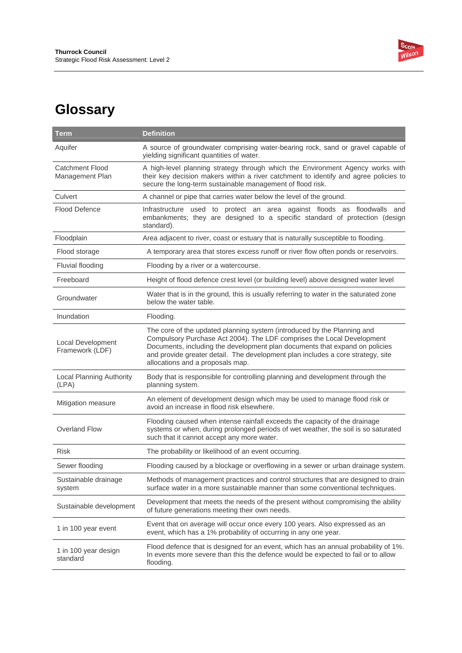

# **Glossary**

| <b>Term</b>                                 | <b>Definition</b>                                                                                                                                                                                                                                                                                                                                       |
|---------------------------------------------|---------------------------------------------------------------------------------------------------------------------------------------------------------------------------------------------------------------------------------------------------------------------------------------------------------------------------------------------------------|
| Aquifer                                     | A source of groundwater comprising water-bearing rock, sand or gravel capable of<br>yielding significant quantities of water.                                                                                                                                                                                                                           |
| <b>Catchment Flood</b><br>Management Plan   | A high-level planning strategy through which the Environment Agency works with<br>their key decision makers within a river catchment to identify and agree policies to<br>secure the long-term sustainable management of flood risk.                                                                                                                    |
| Culvert                                     | A channel or pipe that carries water below the level of the ground.                                                                                                                                                                                                                                                                                     |
| Flood Defence                               | Infrastructure used to protect an area against floods as floodwalls<br>and<br>embankments; they are designed to a specific standard of protection (design<br>standard).                                                                                                                                                                                 |
| Floodplain                                  | Area adjacent to river, coast or estuary that is naturally susceptible to flooding.                                                                                                                                                                                                                                                                     |
| Flood storage                               | A temporary area that stores excess runoff or river flow often ponds or reservoirs.                                                                                                                                                                                                                                                                     |
| Fluvial flooding                            | Flooding by a river or a watercourse.                                                                                                                                                                                                                                                                                                                   |
| Freeboard                                   | Height of flood defence crest level (or building level) above designed water level                                                                                                                                                                                                                                                                      |
| Groundwater                                 | Water that is in the ground, this is usually referring to water in the saturated zone<br>below the water table.                                                                                                                                                                                                                                         |
| Inundation                                  | Flooding.                                                                                                                                                                                                                                                                                                                                               |
| <b>Local Development</b><br>Framework (LDF) | The core of the updated planning system (introduced by the Planning and<br>Compulsory Purchase Act 2004). The LDF comprises the Local Development<br>Documents, including the development plan documents that expand on policies<br>and provide greater detail. The development plan includes a core strategy, site<br>allocations and a proposals map. |
| Local Planning Authority<br>(LPA)           | Body that is responsible for controlling planning and development through the<br>planning system.                                                                                                                                                                                                                                                       |
| Mitigation measure                          | An element of development design which may be used to manage flood risk or<br>avoid an increase in flood risk elsewhere.                                                                                                                                                                                                                                |
| Overland Flow                               | Flooding caused when intense rainfall exceeds the capacity of the drainage<br>systems or when, during prolonged periods of wet weather, the soil is so saturated<br>such that it cannot accept any more water.                                                                                                                                          |
| <b>Risk</b>                                 | The probability or likelihood of an event occurring.                                                                                                                                                                                                                                                                                                    |
| Sewer flooding                              | Flooding caused by a blockage or overflowing in a sewer or urban drainage system.                                                                                                                                                                                                                                                                       |
| Sustainable drainage<br>system              | Methods of management practices and control structures that are designed to drain<br>surface water in a more sustainable manner than some conventional techniques.                                                                                                                                                                                      |
| Sustainable development                     | Development that meets the needs of the present without compromising the ability<br>of future generations meeting their own needs.                                                                                                                                                                                                                      |
| 1 in 100 year event                         | Event that on average will occur once every 100 years. Also expressed as an<br>event, which has a 1% probability of occurring in any one year.                                                                                                                                                                                                          |
| 1 in 100 year design<br>standard            | Flood defence that is designed for an event, which has an annual probability of 1%.<br>In events more severe than this the defence would be expected to fail or to allow<br>flooding.                                                                                                                                                                   |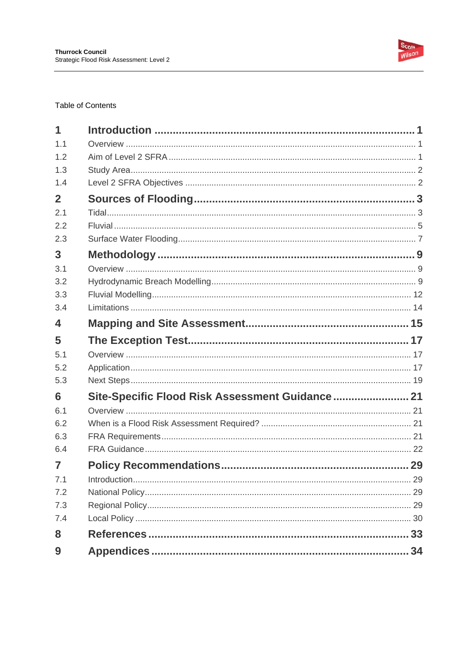

### **Table of Contents**

| 1              |                                                 |  |
|----------------|-------------------------------------------------|--|
| 1.1            |                                                 |  |
| 1.2            |                                                 |  |
| 1.3            |                                                 |  |
| 1.4            |                                                 |  |
| $\overline{2}$ |                                                 |  |
| 2.1            |                                                 |  |
| 2.2            |                                                 |  |
| 2.3            |                                                 |  |
| $\overline{3}$ |                                                 |  |
| 3.1            |                                                 |  |
| 3.2            |                                                 |  |
| 3.3            |                                                 |  |
| 3.4            |                                                 |  |
| 4              |                                                 |  |
| 5              |                                                 |  |
| 5.1            |                                                 |  |
| 5.2            |                                                 |  |
| 5.3            |                                                 |  |
| 6              | Site-Specific Flood Risk Assessment Guidance 21 |  |
| 6.1            |                                                 |  |
| 6.2            |                                                 |  |
| 6.3            |                                                 |  |
| 6.4            |                                                 |  |
| 7              |                                                 |  |
| 7.1            |                                                 |  |
| 7.2            |                                                 |  |
| 7.3            |                                                 |  |
| 7.4            |                                                 |  |
| 8              |                                                 |  |
| 9              |                                                 |  |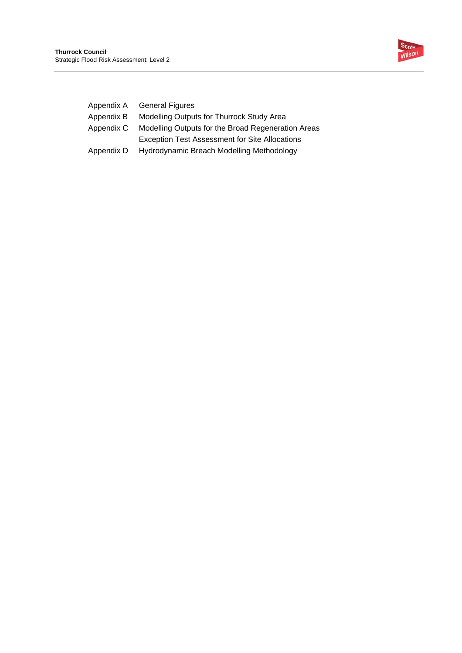

| Appendix A General Figures                            |
|-------------------------------------------------------|
| Modelling Outputs for Thurrock Study Area             |
| Modelling Outputs for the Broad Regeneration Areas    |
| <b>Exception Test Assessment for Site Allocations</b> |
| Hydrodynamic Breach Modelling Methodology             |
|                                                       |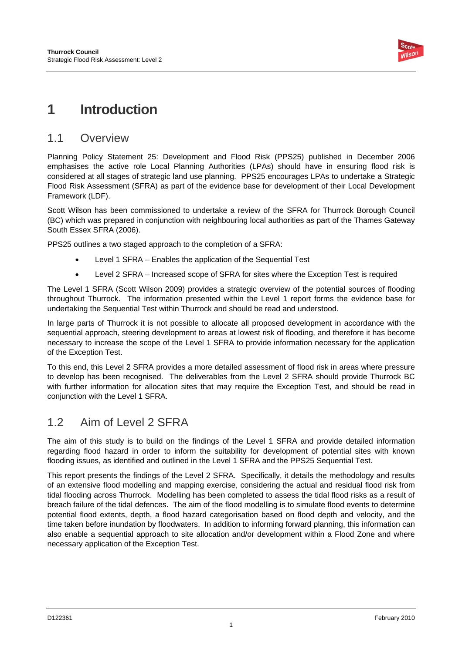

## **1 Introduction**

### 1.1 Overview

Planning Policy Statement 25: Development and Flood Risk (PPS25) published in December 2006 emphasises the active role Local Planning Authorities (LPAs) should have in ensuring flood risk is considered at all stages of strategic land use planning. PPS25 encourages LPAs to undertake a Strategic Flood Risk Assessment (SFRA) as part of the evidence base for development of their Local Development Framework (LDF).

Scott Wilson has been commissioned to undertake a review of the SFRA for Thurrock Borough Council (BC) which was prepared in conjunction with neighbouring local authorities as part of the Thames Gateway South Essex SFRA (2006).

PPS25 outlines a two staged approach to the completion of a SFRA:

- Level 1 SFRA Enables the application of the Sequential Test
- Level 2 SFRA Increased scope of SFRA for sites where the Exception Test is required

The Level 1 SFRA (Scott Wilson 2009) provides a strategic overview of the potential sources of flooding throughout Thurrock. The information presented within the Level 1 report forms the evidence base for undertaking the Sequential Test within Thurrock and should be read and understood.

In large parts of Thurrock it is not possible to allocate all proposed development in accordance with the sequential approach, steering development to areas at lowest risk of flooding, and therefore it has become necessary to increase the scope of the Level 1 SFRA to provide information necessary for the application of the Exception Test.

To this end, this Level 2 SFRA provides a more detailed assessment of flood risk in areas where pressure to develop has been recognised. The deliverables from the Level 2 SFRA should provide Thurrock BC with further information for allocation sites that may require the Exception Test, and should be read in conjunction with the Level 1 SFRA.

## 1.2 Aim of Level 2 SFRA

The aim of this study is to build on the findings of the Level 1 SFRA and provide detailed information regarding flood hazard in order to inform the suitability for development of potential sites with known flooding issues, as identified and outlined in the Level 1 SFRA and the PPS25 Sequential Test.

This report presents the findings of the Level 2 SFRA. Specifically, it details the methodology and results of an extensive flood modelling and mapping exercise, considering the actual and residual flood risk from tidal flooding across Thurrock. Modelling has been completed to assess the tidal flood risks as a result of breach failure of the tidal defences. The aim of the flood modelling is to simulate flood events to determine potential flood extents, depth, a flood hazard categorisation based on flood depth and velocity, and the time taken before inundation by floodwaters. In addition to informing forward planning, this information can also enable a sequential approach to site allocation and/or development within a Flood Zone and where necessary application of the Exception Test.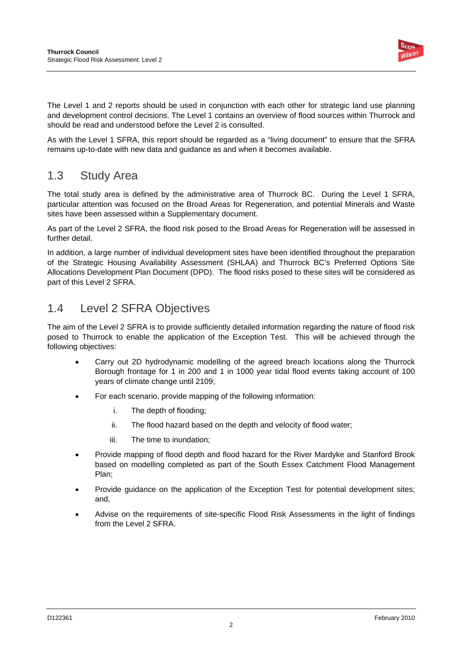

The Level 1 and 2 reports should be used in conjunction with each other for strategic land use planning and development control decisions. The Level 1 contains an overview of flood sources within Thurrock and should be read and understood before the Level 2 is consulted.

As with the Level 1 SFRA, this report should be regarded as a "living document" to ensure that the SFRA remains up-to-date with new data and guidance as and when it becomes available.

## 1.3 Study Area

The total study area is defined by the administrative area of Thurrock BC. During the Level 1 SFRA, particular attention was focused on the Broad Areas for Regeneration, and potential Minerals and Waste sites have been assessed within a Supplementary document.

As part of the Level 2 SFRA, the flood risk posed to the Broad Areas for Regeneration will be assessed in further detail.

In addition, a large number of individual development sites have been identified throughout the preparation of the Strategic Housing Availability Assessment (SHLAA) and Thurrock BC's Preferred Options Site Allocations Development Plan Document (DPD). The flood risks posed to these sites will be considered as part of this Level 2 SFRA.

## 1.4 Level 2 SFRA Objectives

The aim of the Level 2 SFRA is to provide sufficiently detailed information regarding the nature of flood risk posed to Thurrock to enable the application of the Exception Test. This will be achieved through the following objectives:

- Carry out 2D hydrodynamic modelling of the agreed breach locations along the Thurrock Borough frontage for 1 in 200 and 1 in 1000 year tidal flood events taking account of 100 years of climate change until 2109;
- For each scenario, provide mapping of the following information:
	- i. The depth of flooding;
	- ii. The flood hazard based on the depth and velocity of flood water;
	- iii. The time to inundation;
- Provide mapping of flood depth and flood hazard for the River Mardyke and Stanford Brook based on modelling completed as part of the South Essex Catchment Flood Management Plan;
- Provide guidance on the application of the Exception Test for potential development sites; and,
- Advise on the requirements of site-specific Flood Risk Assessments in the light of findings from the Level 2 SFRA.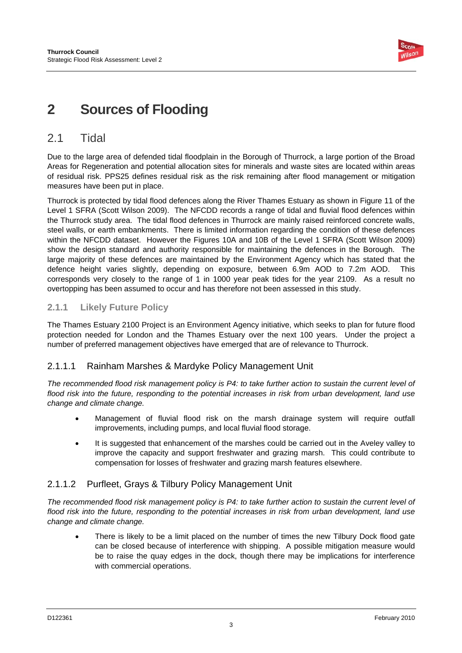

## **2 Sources of Flooding**

## 2.1 Tidal

Due to the large area of defended tidal floodplain in the Borough of Thurrock, a large portion of the Broad Areas for Regeneration and potential allocation sites for minerals and waste sites are located within areas of residual risk. PPS25 defines residual risk as the risk remaining after flood management or mitigation measures have been put in place.

Thurrock is protected by tidal flood defences along the River Thames Estuary as shown in Figure 11 of the Level 1 SFRA (Scott Wilson 2009). The NFCDD records a range of tidal and fluvial flood defences within the Thurrock study area. The tidal flood defences in Thurrock are mainly raised reinforced concrete walls, steel walls, or earth embankments. There is limited information regarding the condition of these defences within the NFCDD dataset. However the Figures 10A and 10B of the Level 1 SFRA (Scott Wilson 2009) show the design standard and authority responsible for maintaining the defences in the Borough. The large majority of these defences are maintained by the Environment Agency which has stated that the defence height varies slightly, depending on exposure, between 6.9m AOD to 7.2m AOD. This corresponds very closely to the range of 1 in 1000 year peak tides for the year 2109. As a result no overtopping has been assumed to occur and has therefore not been assessed in this study.

### **2.1.1 Likely Future Policy**

The Thames Estuary 2100 Project is an Environment Agency initiative, which seeks to plan for future flood protection needed for London and the Thames Estuary over the next 100 years. Under the project a number of preferred management objectives have emerged that are of relevance to Thurrock.

### 2.1.1.1 Rainham Marshes & Mardyke Policy Management Unit

*The recommended flood risk management policy is P4: to take further action to sustain the current level of flood risk into the future, responding to the potential increases in risk from urban development, land use change and climate change.* 

- Management of fluvial flood risk on the marsh drainage system will require outfall improvements, including pumps, and local fluvial flood storage.
- It is suggested that enhancement of the marshes could be carried out in the Aveley valley to improve the capacity and support freshwater and grazing marsh. This could contribute to compensation for losses of freshwater and grazing marsh features elsewhere.

### 2.1.1.2 Purfleet, Grays & Tilbury Policy Management Unit

*The recommended flood risk management policy is P4: to take further action to sustain the current level of flood risk into the future, responding to the potential increases in risk from urban development, land use change and climate change.* 

There is likely to be a limit placed on the number of times the new Tilbury Dock flood gate can be closed because of interference with shipping. A possible mitigation measure would be to raise the quay edges in the dock, though there may be implications for interference with commercial operations.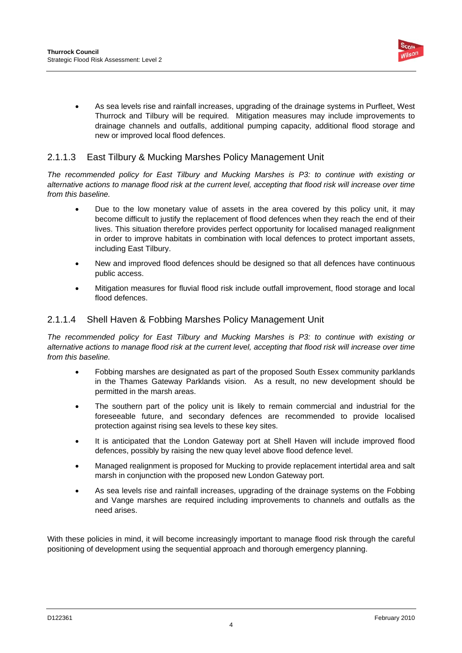

• As sea levels rise and rainfall increases, upgrading of the drainage systems in Purfleet, West Thurrock and Tilbury will be required. Mitigation measures may include improvements to drainage channels and outfalls, additional pumping capacity, additional flood storage and new or improved local flood defences.

### 2.1.1.3 East Tilbury & Mucking Marshes Policy Management Unit

*The recommended policy for East Tilbury and Mucking Marshes is P3: to continue with existing or alternative actions to manage flood risk at the current level, accepting that flood risk will increase over time from this baseline.* 

- Due to the low monetary value of assets in the area covered by this policy unit, it may become difficult to justify the replacement of flood defences when they reach the end of their lives. This situation therefore provides perfect opportunity for localised managed realignment in order to improve habitats in combination with local defences to protect important assets, including East Tilbury.
- New and improved flood defences should be designed so that all defences have continuous public access.
- Mitigation measures for fluvial flood risk include outfall improvement, flood storage and local flood defences.

### 2.1.1.4 Shell Haven & Fobbing Marshes Policy Management Unit

*The recommended policy for East Tilbury and Mucking Marshes is P3: to continue with existing or alternative actions to manage flood risk at the current level, accepting that flood risk will increase over time from this baseline.* 

- Fobbing marshes are designated as part of the proposed South Essex community parklands in the Thames Gateway Parklands vision. As a result, no new development should be permitted in the marsh areas.
- The southern part of the policy unit is likely to remain commercial and industrial for the foreseeable future, and secondary defences are recommended to provide localised protection against rising sea levels to these key sites.
- It is anticipated that the London Gateway port at Shell Haven will include improved flood defences, possibly by raising the new quay level above flood defence level.
- Managed realignment is proposed for Mucking to provide replacement intertidal area and salt marsh in conjunction with the proposed new London Gateway port.
- As sea levels rise and rainfall increases, upgrading of the drainage systems on the Fobbing and Vange marshes are required including improvements to channels and outfalls as the need arises.

With these policies in mind, it will become increasingly important to manage flood risk through the careful positioning of development using the sequential approach and thorough emergency planning.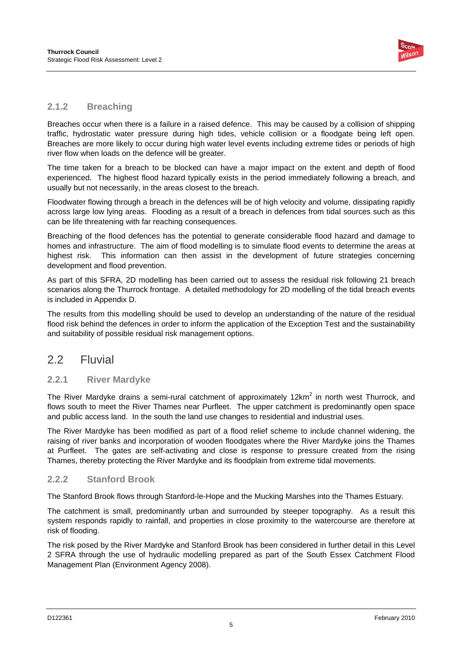

### **2.1.2 Breaching**

Breaches occur when there is a failure in a raised defence. This may be caused by a collision of shipping traffic, hydrostatic water pressure during high tides, vehicle collision or a floodgate being left open. Breaches are more likely to occur during high water level events including extreme tides or periods of high river flow when loads on the defence will be greater.

The time taken for a breach to be blocked can have a major impact on the extent and depth of flood experienced. The highest flood hazard typically exists in the period immediately following a breach, and usually but not necessarily, in the areas closest to the breach.

Floodwater flowing through a breach in the defences will be of high velocity and volume, dissipating rapidly across large low lying areas. Flooding as a result of a breach in defences from tidal sources such as this can be life threatening with far reaching consequences.

Breaching of the flood defences has the potential to generate considerable flood hazard and damage to homes and infrastructure. The aim of flood modelling is to simulate flood events to determine the areas at highest risk. This information can then assist in the development of future strategies concerning development and flood prevention.

As part of this SFRA, 2D modelling has been carried out to assess the residual risk following 21 breach scenarios along the Thurrock frontage. A detailed methodology for 2D modelling of the tidal breach events is included in Appendix D.

The results from this modelling should be used to develop an understanding of the nature of the residual flood risk behind the defences in order to inform the application of the Exception Test and the sustainability and suitability of possible residual risk management options.

### 2.2 Fluvial

### **2.2.1 River Mardyke**

The River Mardyke drains a semi-rural catchment of approximately 12km<sup>2</sup> in north west Thurrock, and flows south to meet the River Thames near Purfleet. The upper catchment is predominantly open space and public access land. In the south the land use changes to residential and industrial uses.

The River Mardyke has been modified as part of a flood relief scheme to include channel widening, the raising of river banks and incorporation of wooden floodgates where the River Mardyke joins the Thames at Purfleet. The gates are self-activating and close is response to pressure created from the rising Thames, thereby protecting the River Mardyke and its floodplain from extreme tidal movements.

### **2.2.2 Stanford Brook**

The Stanford Brook flows through Stanford-le-Hope and the Mucking Marshes into the Thames Estuary.

The catchment is small, predominantly urban and surrounded by steeper topography. As a result this system responds rapidly to rainfall, and properties in close proximity to the watercourse are therefore at risk of flooding.

The risk posed by the River Mardyke and Stanford Brook has been considered in further detail in this Level 2 SFRA through the use of hydraulic modelling prepared as part of the South Essex Catchment Flood Management Plan (Environment Agency 2008).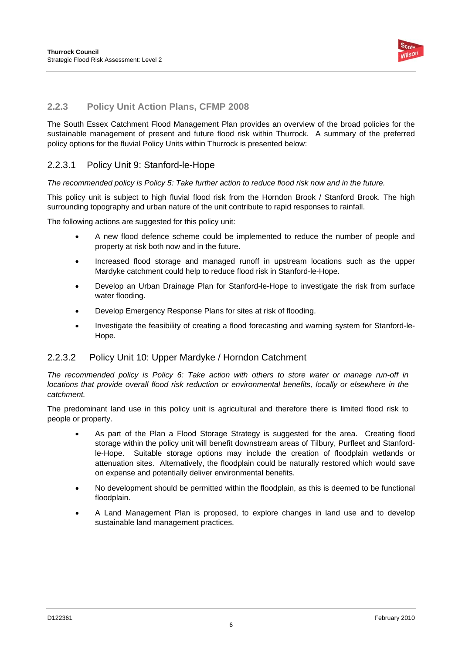

### **2.2.3 Policy Unit Action Plans, CFMP 2008**

The South Essex Catchment Flood Management Plan provides an overview of the broad policies for the sustainable management of present and future flood risk within Thurrock. A summary of the preferred policy options for the fluvial Policy Units within Thurrock is presented below:

### 2.2.3.1 Policy Unit 9: Stanford-le-Hope

*The recommended policy is Policy 5: Take further action to reduce flood risk now and in the future.* 

This policy unit is subject to high fluvial flood risk from the Horndon Brook / Stanford Brook. The high surrounding topography and urban nature of the unit contribute to rapid responses to rainfall.

The following actions are suggested for this policy unit:

- A new flood defence scheme could be implemented to reduce the number of people and property at risk both now and in the future.
- Increased flood storage and managed runoff in upstream locations such as the upper Mardyke catchment could help to reduce flood risk in Stanford-le-Hope.
- Develop an Urban Drainage Plan for Stanford-le-Hope to investigate the risk from surface water flooding.
- Develop Emergency Response Plans for sites at risk of flooding.
- Investigate the feasibility of creating a flood forecasting and warning system for Stanford-le-Hope.

### 2.2.3.2 Policy Unit 10: Upper Mardyke / Horndon Catchment

*The recommended policy is Policy 6: Take action with others to store water or manage run-off in locations that provide overall flood risk reduction or environmental benefits, locally or elsewhere in the catchment.* 

The predominant land use in this policy unit is agricultural and therefore there is limited flood risk to people or property.

- As part of the Plan a Flood Storage Strategy is suggested for the area. Creating flood storage within the policy unit will benefit downstream areas of Tilbury, Purfleet and Stanfordle-Hope. Suitable storage options may include the creation of floodplain wetlands or attenuation sites. Alternatively, the floodplain could be naturally restored which would save on expense and potentially deliver environmental benefits.
- No development should be permitted within the floodplain, as this is deemed to be functional floodplain.
- A Land Management Plan is proposed, to explore changes in land use and to develop sustainable land management practices.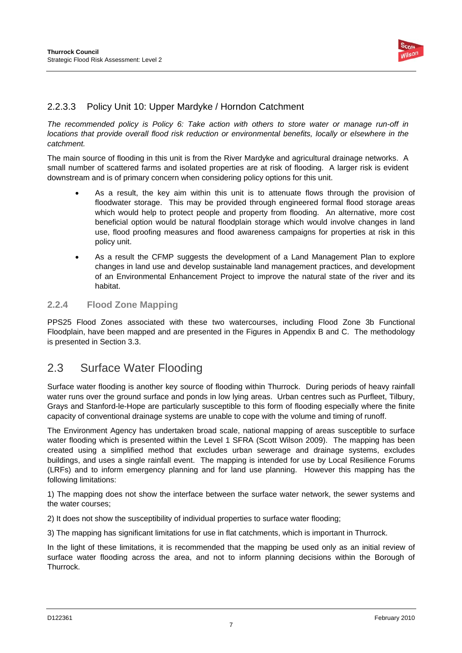

### 2.2.3.3 Policy Unit 10: Upper Mardyke / Horndon Catchment

*The recommended policy is Policy 6: Take action with others to store water or manage run-off in locations that provide overall flood risk reduction or environmental benefits, locally or elsewhere in the catchment.* 

The main source of flooding in this unit is from the River Mardyke and agricultural drainage networks. A small number of scattered farms and isolated properties are at risk of flooding. A larger risk is evident downstream and is of primary concern when considering policy options for this unit.

- As a result, the key aim within this unit is to attenuate flows through the provision of floodwater storage. This may be provided through engineered formal flood storage areas which would help to protect people and property from flooding. An alternative, more cost beneficial option would be natural floodplain storage which would involve changes in land use, flood proofing measures and flood awareness campaigns for properties at risk in this policy unit.
- As a result the CFMP suggests the development of a Land Management Plan to explore changes in land use and develop sustainable land management practices, and development of an Environmental Enhancement Project to improve the natural state of the river and its habitat.

### **2.2.4 Flood Zone Mapping**

PPS25 Flood Zones associated with these two watercourses, including Flood Zone 3b Functional Floodplain, have been mapped and are presented in the Figures in Appendix B and C. The methodology is presented in Section 3.3.

## 2.3 Surface Water Flooding

Surface water flooding is another key source of flooding within Thurrock. During periods of heavy rainfall water runs over the ground surface and ponds in low lying areas. Urban centres such as Purfleet, Tilbury, Grays and Stanford-le-Hope are particularly susceptible to this form of flooding especially where the finite capacity of conventional drainage systems are unable to cope with the volume and timing of runoff.

The Environment Agency has undertaken broad scale, national mapping of areas susceptible to surface water flooding which is presented within the Level 1 SFRA (Scott Wilson 2009). The mapping has been created using a simplified method that excludes urban sewerage and drainage systems, excludes buildings, and uses a single rainfall event. The mapping is intended for use by Local Resilience Forums (LRFs) and to inform emergency planning and for land use planning. However this mapping has the following limitations:

1) The mapping does not show the interface between the surface water network, the sewer systems and the water courses;

2) It does not show the susceptibility of individual properties to surface water flooding;

3) The mapping has significant limitations for use in flat catchments, which is important in Thurrock.

In the light of these limitations, it is recommended that the mapping be used only as an initial review of surface water flooding across the area, and not to inform planning decisions within the Borough of Thurrock.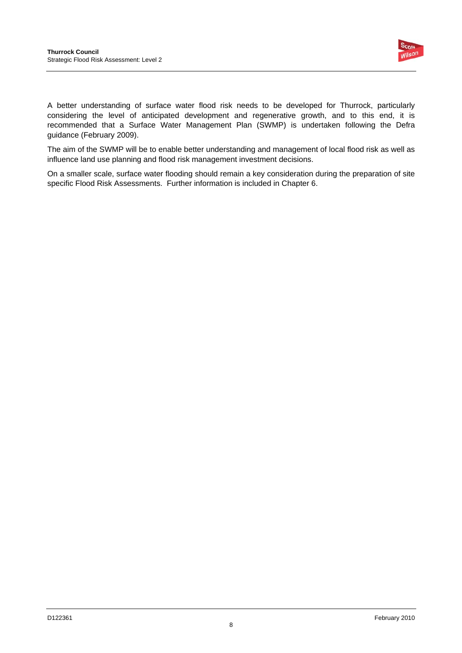

A better understanding of surface water flood risk needs to be developed for Thurrock, particularly considering the level of anticipated development and regenerative growth, and to this end, it is recommended that a Surface Water Management Plan (SWMP) is undertaken following the Defra guidance (February 2009).

The aim of the SWMP will be to enable better understanding and management of local flood risk as well as influence land use planning and flood risk management investment decisions.

On a smaller scale, surface water flooding should remain a key consideration during the preparation of site specific Flood Risk Assessments. Further information is included in Chapter 6.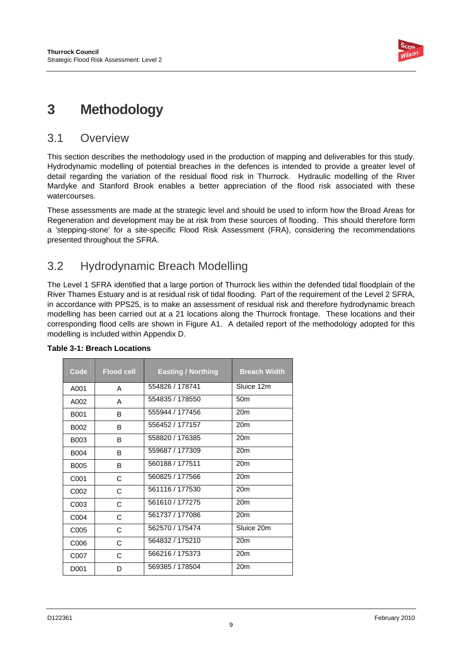

## **3 Methodology**

### 3.1 Overview

This section describes the methodology used in the production of mapping and deliverables for this study. Hydrodynamic modelling of potential breaches in the defences is intended to provide a greater level of detail regarding the variation of the residual flood risk in Thurrock. Hydraulic modelling of the River Mardyke and Stanford Brook enables a better appreciation of the flood risk associated with these watercourses.

These assessments are made at the strategic level and should be used to inform how the Broad Areas for Regeneration and development may be at risk from these sources of flooding. This should therefore form a 'stepping-stone' for a site-specific Flood Risk Assessment (FRA), considering the recommendations presented throughout the SFRA.

## 3.2 Hydrodynamic Breach Modelling

The Level 1 SFRA identified that a large portion of Thurrock lies within the defended tidal floodplain of the River Thames Estuary and is at residual risk of tidal flooding. Part of the requirement of the Level 2 SFRA, in accordance with PPS25, is to make an assessment of residual risk and therefore hydrodynamic breach modelling has been carried out at a 21 locations along the Thurrock frontage. These locations and their corresponding flood cells are shown in Figure A1. A detailed report of the methodology adopted for this modelling is included within Appendix D.

| Code              | <b>Flood cell</b> | <b>Easting / Northing</b> | <b>Breach Width</b> |
|-------------------|-------------------|---------------------------|---------------------|
| A001              | A                 | 554826 / 178741           | Sluice 12m          |
| A002              | A                 | 554835 / 178550           | 50 <sub>m</sub>     |
| <b>B001</b>       | B                 | 555944 / 177456           | 20m                 |
| B002              | B                 | 556452 / 177157           | 20 <sub>m</sub>     |
| B003              | B                 | 558820 / 176385           | 20 <sub>m</sub>     |
| <b>B004</b>       | B                 | 559687 / 177309           | 20 <sub>m</sub>     |
| <b>B005</b>       | B                 | 560188 / 177511           | 20m                 |
| C <sub>001</sub>  | C                 | 560825 / 177566           | 20 <sub>m</sub>     |
| C002              | C                 | 561116 / 177530           | 20 <sub>m</sub>     |
| C003              | C                 | 561610 / 177275           | 20 <sub>m</sub>     |
| C <sub>0</sub> 04 | C                 | 561737 / 177086           | 20 <sub>m</sub>     |
| C005              | C                 | 562570 / 175474           | Sluice 20m          |
| C006              | C                 | 564832 / 175210           | 20m                 |
| C007              | C                 | 566216 / 175373           | 20 <sub>m</sub>     |
| D001              | D                 | 569385 / 178504           | 20 <sub>m</sub>     |

### **Table 3-1: Breach Locations**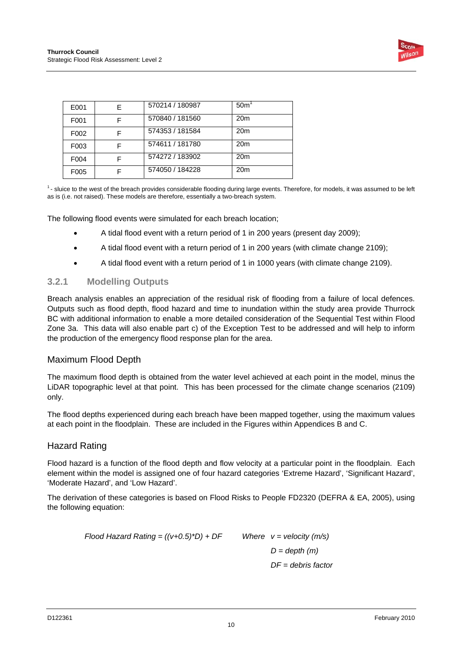

| E001              | F | 570214 / 180987 | 50 <sup>th</sup> |
|-------------------|---|-----------------|------------------|
| F <sub>001</sub>  |   | 570840 / 181560 | 20 <sub>m</sub>  |
| F <sub>0</sub> 02 |   | 574353 / 181584 | 20 <sub>m</sub>  |
| F <sub>003</sub>  |   | 574611 / 181780 | 20 <sub>m</sub>  |
| F <sub>004</sub>  |   | 574272 / 183902 | 20 <sub>m</sub>  |
| F <sub>005</sub>  |   | 574050 / 184228 | 20 <sub>m</sub>  |
|                   |   |                 |                  |

1- sluice to the west of the breach provides considerable flooding during large events. Therefore, for models, it was assumed to be left as is (i.e. not raised). These models are therefore, essentially a two-breach system.

The following flood events were simulated for each breach location;

- A tidal flood event with a return period of 1 in 200 years (present day 2009);
- A tidal flood event with a return period of 1 in 200 years (with climate change 2109);
- A tidal flood event with a return period of 1 in 1000 years (with climate change 2109).

#### **3.2.1 Modelling Outputs**

Breach analysis enables an appreciation of the residual risk of flooding from a failure of local defences. Outputs such as flood depth, flood hazard and time to inundation within the study area provide Thurrock BC with additional information to enable a more detailed consideration of the Sequential Test within Flood Zone 3a. This data will also enable part c) of the Exception Test to be addressed and will help to inform the production of the emergency flood response plan for the area.

### Maximum Flood Depth

The maximum flood depth is obtained from the water level achieved at each point in the model, minus the LiDAR topographic level at that point. This has been processed for the climate change scenarios (2109) only.

The flood depths experienced during each breach have been mapped together, using the maximum values at each point in the floodplain. These are included in the Figures within Appendices B and C.

### Hazard Rating

Flood hazard is a function of the flood depth and flow velocity at a particular point in the floodplain. Each element within the model is assigned one of four hazard categories 'Extreme Hazard', 'Significant Hazard', 'Moderate Hazard', and 'Low Hazard'.

The derivation of these categories is based on Flood Risks to People FD2320 (DEFRA & EA, 2005), using the following equation:

> *Flood Hazard Rating = ((v+0.5)\*D) + DF Where v = velocity (m/s) D = depth (m) DF = debris factor*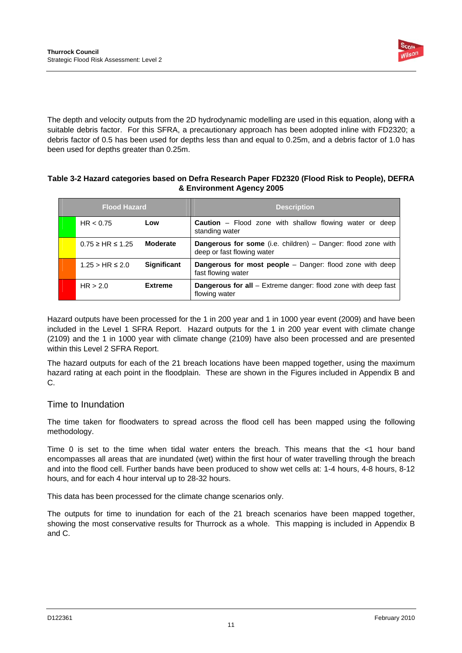

The depth and velocity outputs from the 2D hydrodynamic modelling are used in this equation, along with a suitable debris factor. For this SFRA, a precautionary approach has been adopted inline with FD2320; a debris factor of 0.5 has been used for depths less than and equal to 0.25m, and a debris factor of 1.0 has been used for depths greater than 0.25m.

#### **Table 3-2 Hazard categories based on Defra Research Paper FD2320 (Flood Risk to People), DEFRA & Environment Agency 2005**

| <b>Flood Hazard</b> |                             |                    | <b>Description</b>                                                                                  |
|---------------------|-----------------------------|--------------------|-----------------------------------------------------------------------------------------------------|
|                     | HR < 0.75                   | Low                | <b>Caution</b> – Flood zone with shallow flowing water or deep<br>standing water                    |
|                     | $0.75 \geq H$ R $\leq 1.25$ | <b>Moderate</b>    | <b>Dangerous for some</b> (i.e. children) $-$ Danger: flood zone with<br>deep or fast flowing water |
|                     | $1.25 > HR \leq 2.0$        | <b>Significant</b> | <b>Dangerous for most people</b> – Danger: flood zone with deep<br>fast flowing water               |
|                     | HR > 2.0                    | <b>Extreme</b>     | <b>Dangerous for all</b> – Extreme danger: flood zone with deep fast<br>flowing water               |

Hazard outputs have been processed for the 1 in 200 year and 1 in 1000 year event (2009) and have been included in the Level 1 SFRA Report. Hazard outputs for the 1 in 200 year event with climate change (2109) and the 1 in 1000 year with climate change (2109) have also been processed and are presented within this Level 2 SFRA Report.

The hazard outputs for each of the 21 breach locations have been mapped together, using the maximum hazard rating at each point in the floodplain. These are shown in the Figures included in Appendix B and C.

### Time to Inundation

The time taken for floodwaters to spread across the flood cell has been mapped using the following methodology.

Time 0 is set to the time when tidal water enters the breach. This means that the <1 hour band encompasses all areas that are inundated (wet) within the first hour of water travelling through the breach and into the flood cell. Further bands have been produced to show wet cells at: 1-4 hours, 4-8 hours, 8-12 hours, and for each 4 hour interval up to 28-32 hours.

This data has been processed for the climate change scenarios only.

The outputs for time to inundation for each of the 21 breach scenarios have been mapped together, showing the most conservative results for Thurrock as a whole. This mapping is included in Appendix B and C.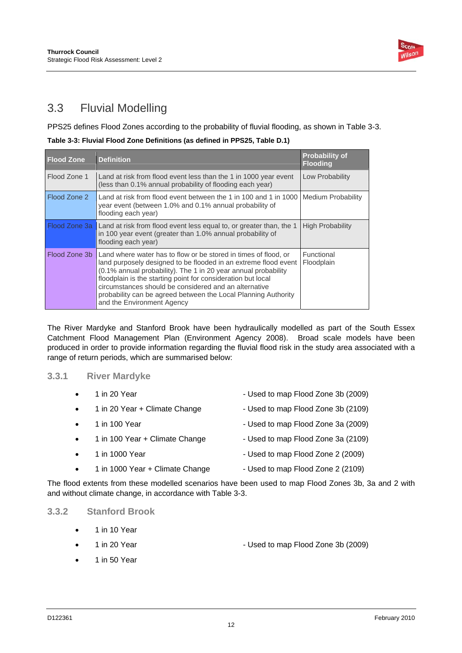

## 3.3 Fluvial Modelling

PPS25 defines Flood Zones according to the probability of fluvial flooding, as shown in Table 3-3.

**Table 3-3: Fluvial Flood Zone Definitions (as defined in PPS25, Table D.1)** 

| <b>Flood Zone</b> | <b>Definition</b>                                                                                                                                                                                                                                                                                                                                                                                                             | <b>Probability of</b><br><b>Flooding</b> |
|-------------------|-------------------------------------------------------------------------------------------------------------------------------------------------------------------------------------------------------------------------------------------------------------------------------------------------------------------------------------------------------------------------------------------------------------------------------|------------------------------------------|
| Flood Zone 1      | Land at risk from flood event less than the 1 in 1000 year event<br>(less than 0.1% annual probability of flooding each year)                                                                                                                                                                                                                                                                                                 | Low Probability                          |
| Flood Zone 2      | Land at risk from flood event between the 1 in 100 and 1 in 1000  <br>year event (between 1.0% and 0.1% annual probability of<br>flooding each year)                                                                                                                                                                                                                                                                          | Medium Probability                       |
|                   | Flood Zone 3a Land at risk from flood event less equal to, or greater than, the 1<br>in 100 year event (greater than 1.0% annual probability of<br>flooding each year)                                                                                                                                                                                                                                                        | <b>High Probability</b>                  |
| Flood Zone 3b     | Land where water has to flow or be stored in times of flood, or<br>land purposely designed to be flooded in an extreme flood event<br>(0.1% annual probability). The 1 in 20 year annual probability<br>floodplain is the starting point for consideration but local<br>circumstances should be considered and an alternative<br>probability can be agreed between the Local Planning Authority<br>and the Environment Agency | Functional<br>Floodplain                 |

The River Mardyke and Stanford Brook have been hydraulically modelled as part of the South Essex Catchment Flood Management Plan (Environment Agency 2008). Broad scale models have been produced in order to provide information regarding the fluvial flood risk in the study area associated with a range of return periods, which are summarised below:

### **3.3.1 River Mardyke**

| $\bullet$ | 1 in 20 Year                    | - Used to map Flood Zone 3b (2009) |
|-----------|---------------------------------|------------------------------------|
| $\bullet$ | 1 in 20 Year + Climate Change   | - Used to map Flood Zone 3b (2109) |
| $\bullet$ | 1 in 100 Year                   | - Used to map Flood Zone 3a (2009) |
| $\bullet$ | 1 in 100 Year + Climate Change  | - Used to map Flood Zone 3a (2109) |
| $\bullet$ | 1 in 1000 Year                  | - Used to map Flood Zone 2 (2009)  |
| $\bullet$ | 1 in 1000 Year + Climate Change | - Used to map Flood Zone 2 (2109)  |
|           |                                 |                                    |

The flood extents from these modelled scenarios have been used to map Flood Zones 3b, 3a and 2 with and without climate change, in accordance with Table 3-3.

### **3.3.2 Stanford Brook**

- 1 in 10 Year
- 1 in 20 Year  **Contract 2009** Used to map Flood Zone 3b (2009)
- 1 in 50 Year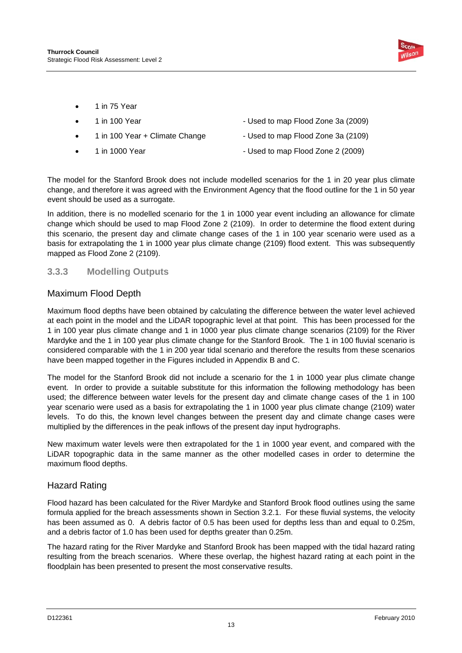

• 1 in 75 Year

| $\bullet$ | 1 in 100 Year                  | - Used to map Flood Zone 3a (2009) |
|-----------|--------------------------------|------------------------------------|
| $\bullet$ | 1 in 100 Year + Climate Change | - Used to map Flood Zone 3a (2109) |
| $\bullet$ | 1 in 1000 Year                 | - Used to map Flood Zone 2 (2009)  |

The model for the Stanford Brook does not include modelled scenarios for the 1 in 20 year plus climate change, and therefore it was agreed with the Environment Agency that the flood outline for the 1 in 50 year event should be used as a surrogate.

In addition, there is no modelled scenario for the 1 in 1000 year event including an allowance for climate change which should be used to map Flood Zone 2 (2109). In order to determine the flood extent during this scenario, the present day and climate change cases of the 1 in 100 year scenario were used as a basis for extrapolating the 1 in 1000 year plus climate change (2109) flood extent. This was subsequently mapped as Flood Zone 2 (2109).

### **3.3.3 Modelling Outputs**

### Maximum Flood Depth

Maximum flood depths have been obtained by calculating the difference between the water level achieved at each point in the model and the LiDAR topographic level at that point. This has been processed for the 1 in 100 year plus climate change and 1 in 1000 year plus climate change scenarios (2109) for the River Mardyke and the 1 in 100 year plus climate change for the Stanford Brook. The 1 in 100 fluvial scenario is considered comparable with the 1 in 200 year tidal scenario and therefore the results from these scenarios have been mapped together in the Figures included in Appendix B and C.

The model for the Stanford Brook did not include a scenario for the 1 in 1000 year plus climate change event. In order to provide a suitable substitute for this information the following methodology has been used; the difference between water levels for the present day and climate change cases of the 1 in 100 year scenario were used as a basis for extrapolating the 1 in 1000 year plus climate change (2109) water levels. To do this, the known level changes between the present day and climate change cases were multiplied by the differences in the peak inflows of the present day input hydrographs.

New maximum water levels were then extrapolated for the 1 in 1000 year event, and compared with the LiDAR topographic data in the same manner as the other modelled cases in order to determine the maximum flood depths.

### Hazard Rating

Flood hazard has been calculated for the River Mardyke and Stanford Brook flood outlines using the same formula applied for the breach assessments shown in Section 3.2.1. For these fluvial systems, the velocity has been assumed as 0. A debris factor of 0.5 has been used for depths less than and equal to 0.25m, and a debris factor of 1.0 has been used for depths greater than 0.25m.

The hazard rating for the River Mardyke and Stanford Brook has been mapped with the tidal hazard rating resulting from the breach scenarios. Where these overlap, the highest hazard rating at each point in the floodplain has been presented to present the most conservative results.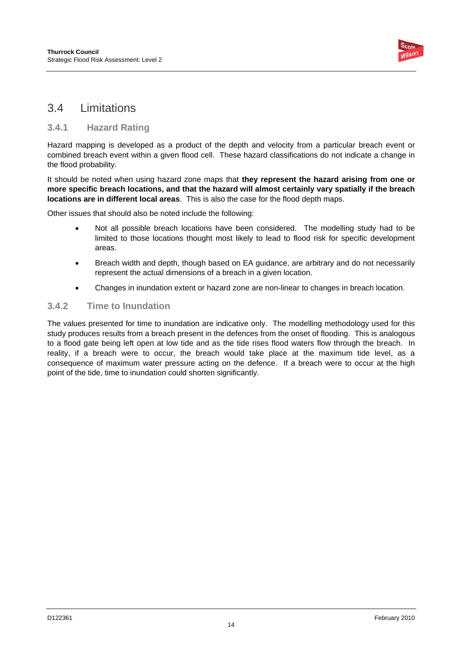

## 3.4 Limitations

### **3.4.1 Hazard Rating**

Hazard mapping is developed as a product of the depth and velocity from a particular breach event or combined breach event within a given flood cell. These hazard classifications do not indicate a change in the flood probability.

It should be noted when using hazard zone maps that **they represent the hazard arising from one or more specific breach locations, and that the hazard will almost certainly vary spatially if the breach locations are in different local areas**. This is also the case for the flood depth maps.

Other issues that should also be noted include the following:

- Not all possible breach locations have been considered. The modelling study had to be limited to those locations thought most likely to lead to flood risk for specific development areas.
- Breach width and depth, though based on EA guidance, are arbitrary and do not necessarily represent the actual dimensions of a breach in a given location.
- Changes in inundation extent or hazard zone are non-linear to changes in breach location.

### **3.4.2 Time to Inundation**

The values presented for time to inundation are indicative only. The modelling methodology used for this study produces results from a breach present in the defences from the onset of flooding. This is analogous to a flood gate being left open at low tide and as the tide rises flood waters flow through the breach. In reality, if a breach were to occur, the breach would take place at the maximum tide level, as a consequence of maximum water pressure acting on the defence. If a breach were to occur at the high point of the tide, time to inundation could shorten significantly.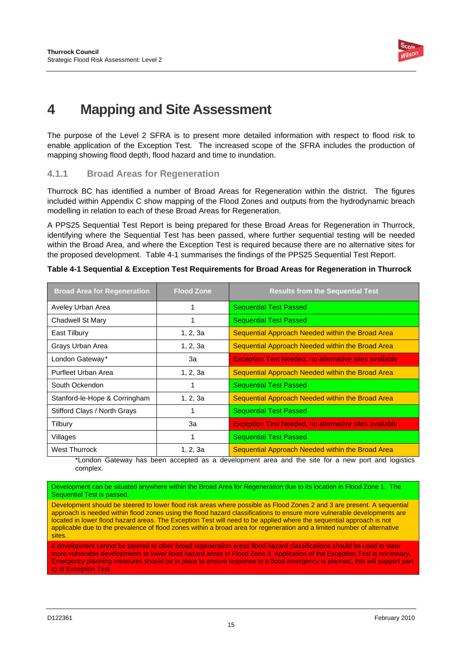

## **4 Mapping and Site Assessment**

The purpose of the Level 2 SFRA is to present more detailed information with respect to flood risk to enable application of the Exception Test. The increased scope of the SFRA includes the production of mapping showing flood depth, flood hazard and time to inundation.

### **4.1.1 Broad Areas for Regeneration**

Thurrock BC has identified a number of Broad Areas for Regeneration within the district. The figures included within Appendix C show mapping of the Flood Zones and outputs from the hydrodynamic breach modelling in relation to each of these Broad Areas for Regeneration.

A PPS25 Sequential Test Report is being prepared for these Broad Areas for Regeneration in Thurrock, identifying where the Sequential Test has been passed, where further sequential testing will be needed within the Broad Area, and where the Exception Test is required because there are no alternative sites for the proposed development. Table 4-1 summarises the findings of the PPS25 Sequential Test Report.

| <b>Broad Area for Regeneration</b> | <b>Flood Zone</b> | <b>Results from the Sequential Test</b>                      |
|------------------------------------|-------------------|--------------------------------------------------------------|
| Aveley Urban Area                  |                   | <b>Sequential Test Passed</b>                                |
| Chadwell St Mary                   |                   | <b>Sequential Test Passed</b>                                |
| East Tilbury                       | 1, 2, 3a          | Sequential Approach Needed within the Broad Area             |
| Grays Urban Area                   | 1, 2, 3a          | Sequential Approach Needed within the Broad Area             |
| London Gateway*                    | За                | <b>Exception Test Needed, no alternative sites available</b> |
| Purfleet Urban Area                | 1, 2, 3a          | Sequential Approach Needed within the Broad Area             |
| South Ockendon                     |                   | <b>Sequential Test Passed</b>                                |
| Stanford-le-Hope & Corringham      | 1, 2, 3a          | Sequential Approach Needed within the Broad Area             |
| Stifford Clays / North Grays       |                   | <b>Sequential Test Passed</b>                                |
| Tilbury                            | За                | <b>Exception Test Needed, no alternative sites available</b> |
| Villages                           |                   | <b>Sequential Test Passed</b>                                |
| <b>West Thurrock</b>               | 1, 2, 3a          | Sequential Approach Needed within the Broad Area             |

**Table 4-1 Sequential & Exception Test Requirements for Broad Areas for Regeneration in Thurrock** 

\*London Gateway has been accepted as a development area and the site for a new port and logistics complex.

Development can be situated anywhere within the Broad Area for Regeneration due to its location in Flood Zone 1. The Sequential Test is passed.

Development should be steered to lower flood risk areas where possible as Flood Zones 2 and 3 are present. A sequential approach is needed within flood zones using the flood hazard classifications to ensure more vulnerable developments are located in lower flood hazard areas. The Exception Test will need to be applied where the sequential approach is not applicable due to the prevalence of flood zones within a broad area for regeneration and a limited number of alternative sites.

If development cannot be steered to other broad regeneration areas flood hazard classifications should be used to steer more vulnerable developments to lower flood hazard areas in Flood Zone 3. Application of the Exception Test is necessary. Emergency planning measures should be in place to ensure response to a flood emergency is planned, this will support part c) of Exception Test.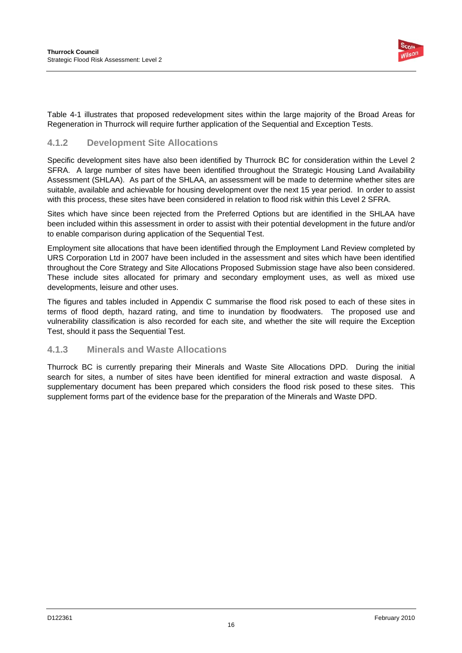

Table 4-1 illustrates that proposed redevelopment sites within the large majority of the Broad Areas for Regeneration in Thurrock will require further application of the Sequential and Exception Tests.

### **4.1.2 Development Site Allocations**

Specific development sites have also been identified by Thurrock BC for consideration within the Level 2 SFRA. A large number of sites have been identified throughout the Strategic Housing Land Availability Assessment (SHLAA). As part of the SHLAA, an assessment will be made to determine whether sites are suitable, available and achievable for housing development over the next 15 year period. In order to assist with this process, these sites have been considered in relation to flood risk within this Level 2 SFRA.

Sites which have since been rejected from the Preferred Options but are identified in the SHLAA have been included within this assessment in order to assist with their potential development in the future and/or to enable comparison during application of the Sequential Test.

Employment site allocations that have been identified through the Employment Land Review completed by URS Corporation Ltd in 2007 have been included in the assessment and sites which have been identified throughout the Core Strategy and Site Allocations Proposed Submission stage have also been considered. These include sites allocated for primary and secondary employment uses, as well as mixed use developments, leisure and other uses.

The figures and tables included in Appendix C summarise the flood risk posed to each of these sites in terms of flood depth, hazard rating, and time to inundation by floodwaters. The proposed use and vulnerability classification is also recorded for each site, and whether the site will require the Exception Test, should it pass the Sequential Test.

### **4.1.3 Minerals and Waste Allocations**

Thurrock BC is currently preparing their Minerals and Waste Site Allocations DPD. During the initial search for sites, a number of sites have been identified for mineral extraction and waste disposal. A supplementary document has been prepared which considers the flood risk posed to these sites. This supplement forms part of the evidence base for the preparation of the Minerals and Waste DPD.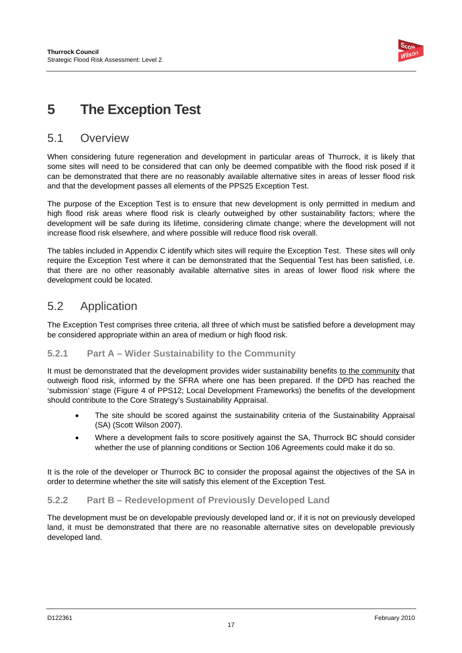

## **5 The Exception Test**

### 5.1 Overview

When considering future regeneration and development in particular areas of Thurrock, it is likely that some sites will need to be considered that can only be deemed compatible with the flood risk posed if it can be demonstrated that there are no reasonably available alternative sites in areas of lesser flood risk and that the development passes all elements of the PPS25 Exception Test.

The purpose of the Exception Test is to ensure that new development is only permitted in medium and high flood risk areas where flood risk is clearly outweighed by other sustainability factors; where the development will be safe during its lifetime, considering climate change; where the development will not increase flood risk elsewhere, and where possible will reduce flood risk overall.

The tables included in Appendix C identify which sites will require the Exception Test. These sites will only require the Exception Test where it can be demonstrated that the Sequential Test has been satisfied, i.e. that there are no other reasonably available alternative sites in areas of lower flood risk where the development could be located.

## 5.2 Application

The Exception Test comprises three criteria, all three of which must be satisfied before a development may be considered appropriate within an area of medium or high flood risk.

### **5.2.1 Part A – Wider Sustainability to the Community**

It must be demonstrated that the development provides wider sustainability benefits to the community that outweigh flood risk, informed by the SFRA where one has been prepared. If the DPD has reached the 'submission' stage (Figure 4 of PPS12; Local Development Frameworks) the benefits of the development should contribute to the Core Strategy's Sustainability Appraisal.

- The site should be scored against the sustainability criteria of the Sustainability Appraisal (SA) (Scott Wilson 2007).
- Where a development fails to score positively against the SA, Thurrock BC should consider whether the use of planning conditions or Section 106 Agreements could make it do so.

It is the role of the developer or Thurrock BC to consider the proposal against the objectives of the SA in order to determine whether the site will satisfy this element of the Exception Test.

### **5.2.2 Part B – Redevelopment of Previously Developed Land**

The development must be on developable previously developed land or, if it is not on previously developed land, it must be demonstrated that there are no reasonable alternative sites on developable previously developed land.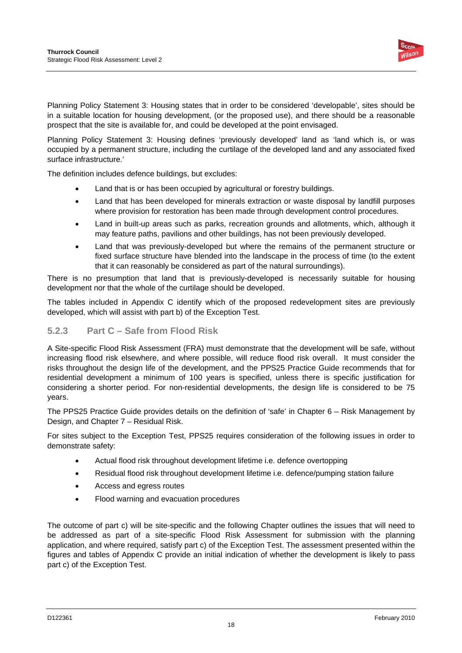

Planning Policy Statement 3: Housing states that in order to be considered 'developable', sites should be in a suitable location for housing development, (or the proposed use), and there should be a reasonable prospect that the site is available for, and could be developed at the point envisaged.

Planning Policy Statement 3: Housing defines 'previously developed' land as 'land which is, or was occupied by a permanent structure, including the curtilage of the developed land and any associated fixed surface infrastructure.'

The definition includes defence buildings, but excludes:

- Land that is or has been occupied by agricultural or forestry buildings.
- Land that has been developed for minerals extraction or waste disposal by landfill purposes where provision for restoration has been made through development control procedures.
- Land in built-up areas such as parks, recreation grounds and allotments, which, although it may feature paths, pavilions and other buildings, has not been previously developed.
- Land that was previously-developed but where the remains of the permanent structure or fixed surface structure have blended into the landscape in the process of time (to the extent that it can reasonably be considered as part of the natural surroundings).

There is no presumption that land that is previously-developed is necessarily suitable for housing development nor that the whole of the curtilage should be developed.

The tables included in Appendix C identify which of the proposed redevelopment sites are previously developed, which will assist with part b) of the Exception Test.

### **5.2.3 Part C – Safe from Flood Risk**

A Site-specific Flood Risk Assessment (FRA) must demonstrate that the development will be safe, without increasing flood risk elsewhere, and where possible, will reduce flood risk overall. It must consider the risks throughout the design life of the development, and the PPS25 Practice Guide recommends that for residential development a minimum of 100 years is specified, unless there is specific justification for considering a shorter period. For non-residential developments, the design life is considered to be 75 years.

The PPS25 Practice Guide provides details on the definition of 'safe' in Chapter 6 – Risk Management by Design, and Chapter 7 – Residual Risk.

For sites subject to the Exception Test, PPS25 requires consideration of the following issues in order to demonstrate safety:

- Actual flood risk throughout development lifetime i.e. defence overtopping
- Residual flood risk throughout development lifetime i.e. defence/pumping station failure
- Access and egress routes
- Flood warning and evacuation procedures

The outcome of part c) will be site-specific and the following Chapter outlines the issues that will need to be addressed as part of a site-specific Flood Risk Assessment for submission with the planning application, and where required, satisfy part c) of the Exception Test. The assessment presented within the figures and tables of Appendix C provide an initial indication of whether the development is likely to pass part c) of the Exception Test.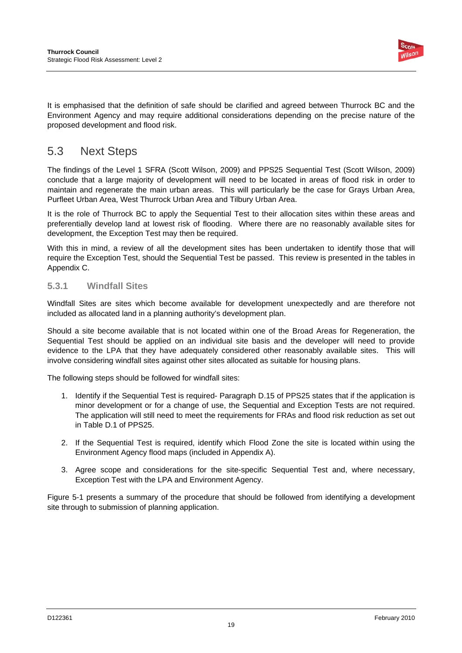

It is emphasised that the definition of safe should be clarified and agreed between Thurrock BC and the Environment Agency and may require additional considerations depending on the precise nature of the proposed development and flood risk.

## 5.3 Next Steps

The findings of the Level 1 SFRA (Scott Wilson, 2009) and PPS25 Sequential Test (Scott Wilson, 2009) conclude that a large majority of development will need to be located in areas of flood risk in order to maintain and regenerate the main urban areas. This will particularly be the case for Grays Urban Area, Purfleet Urban Area, West Thurrock Urban Area and Tilbury Urban Area.

It is the role of Thurrock BC to apply the Sequential Test to their allocation sites within these areas and preferentially develop land at lowest risk of flooding. Where there are no reasonably available sites for development, the Exception Test may then be required.

With this in mind, a review of all the development sites has been undertaken to identify those that will require the Exception Test, should the Sequential Test be passed. This review is presented in the tables in Appendix C.

### **5.3.1 Windfall Sites**

Windfall Sites are sites which become available for development unexpectedly and are therefore not included as allocated land in a planning authority's development plan.

Should a site become available that is not located within one of the Broad Areas for Regeneration, the Sequential Test should be applied on an individual site basis and the developer will need to provide evidence to the LPA that they have adequately considered other reasonably available sites. This will involve considering windfall sites against other sites allocated as suitable for housing plans.

The following steps should be followed for windfall sites:

- 1. Identify if the Sequential Test is required- Paragraph D.15 of PPS25 states that if the application is minor development or for a change of use, the Sequential and Exception Tests are not required. The application will still need to meet the requirements for FRAs and flood risk reduction as set out in Table D.1 of PPS25.
- 2. If the Sequential Test is required, identify which Flood Zone the site is located within using the Environment Agency flood maps (included in Appendix A).
- 3. Agree scope and considerations for the site-specific Sequential Test and, where necessary, Exception Test with the LPA and Environment Agency.

Figure 5-1 presents a summary of the procedure that should be followed from identifying a development site through to submission of planning application.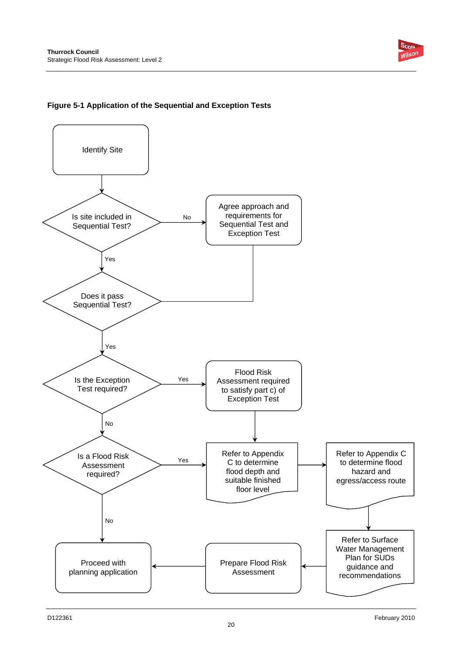

### **Figure 5-1 Application of the Sequential and Exception Tests**

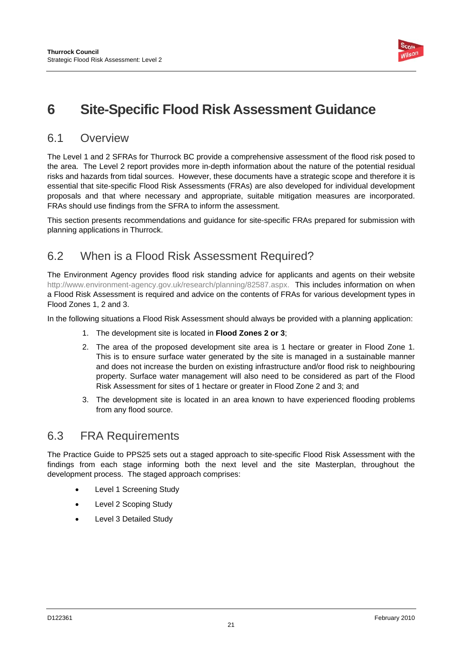

# **6 Site-Specific Flood Risk Assessment Guidance**

## 6.1 Overview

The Level 1 and 2 SFRAs for Thurrock BC provide a comprehensive assessment of the flood risk posed to the area. The Level 2 report provides more in-depth information about the nature of the potential residual risks and hazards from tidal sources. However, these documents have a strategic scope and therefore it is essential that site-specific Flood Risk Assessments (FRAs) are also developed for individual development proposals and that where necessary and appropriate, suitable mitigation measures are incorporated. FRAs should use findings from the SFRA to inform the assessment.

This section presents recommendations and guidance for site-specific FRAs prepared for submission with planning applications in Thurrock.

## 6.2 When is a Flood Risk Assessment Required?

The Environment Agency provides flood risk standing advice for applicants and agents on their website http://www.environment-agency.gov.uk/research/planning/82587.aspx. This includes information on when a Flood Risk Assessment is required and advice on the contents of FRAs for various development types in Flood Zones 1, 2 and 3.

In the following situations a Flood Risk Assessment should always be provided with a planning application:

- 1. The development site is located in **Flood Zones 2 or 3**;
- 2. The area of the proposed development site area is 1 hectare or greater in Flood Zone 1. This is to ensure surface water generated by the site is managed in a sustainable manner and does not increase the burden on existing infrastructure and/or flood risk to neighbouring property. Surface water management will also need to be considered as part of the Flood Risk Assessment for sites of 1 hectare or greater in Flood Zone 2 and 3; and
- 3. The development site is located in an area known to have experienced flooding problems from any flood source.

### 6.3 FRA Requirements

The Practice Guide to PPS25 sets out a staged approach to site-specific Flood Risk Assessment with the findings from each stage informing both the next level and the site Masterplan, throughout the development process. The staged approach comprises:

- Level 1 Screening Study
- Level 2 Scoping Study
- Level 3 Detailed Study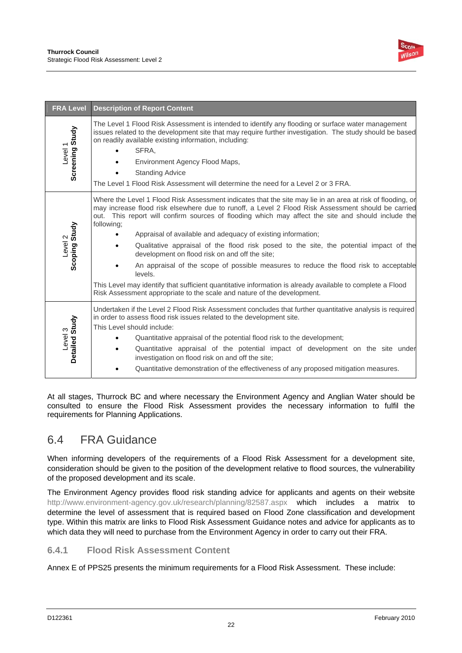

| <b>FRA Level</b>                      | <b>Description of Report Content</b>                                                                                                                                                                                                                                                                                                                                                                                                                                                                                                                                                                                                                                                                                                                                                                                                         |
|---------------------------------------|----------------------------------------------------------------------------------------------------------------------------------------------------------------------------------------------------------------------------------------------------------------------------------------------------------------------------------------------------------------------------------------------------------------------------------------------------------------------------------------------------------------------------------------------------------------------------------------------------------------------------------------------------------------------------------------------------------------------------------------------------------------------------------------------------------------------------------------------|
| Screening Study<br>Level <sub>1</sub> | The Level 1 Flood Risk Assessment is intended to identify any flooding or surface water management<br>issues related to the development site that may require further investigation. The study should be based<br>on readily available existing information, including:<br>SFRA,<br>Environment Agency Flood Maps,<br><b>Standing Advice</b><br>The Level 1 Flood Risk Assessment will determine the need for a Level 2 or 3 FRA.                                                                                                                                                                                                                                                                                                                                                                                                            |
| Scoping Study<br>Level 2              | Where the Level 1 Flood Risk Assessment indicates that the site may lie in an area at risk of flooding, or<br>may increase flood risk elsewhere due to runoff, a Level 2 Flood Risk Assessment should be carried<br>out. This report will confirm sources of flooding which may affect the site and should include the<br>following;<br>Appraisal of available and adequacy of existing information;<br>Qualitative appraisal of the flood risk posed to the site, the potential impact of the<br>development on flood risk on and off the site;<br>An appraisal of the scope of possible measures to reduce the flood risk to acceptable<br>levels.<br>This Level may identify that sufficient quantitative information is already available to complete a Flood<br>Risk Assessment appropriate to the scale and nature of the development. |
| Detailed Study<br>Level 3             | Undertaken if the Level 2 Flood Risk Assessment concludes that further quantitative analysis is required<br>in order to assess flood risk issues related to the development site.<br>This Level should include:<br>Quantitative appraisal of the potential flood risk to the development;<br>Quantitative appraisal of the potential impact of development on the site under<br>investigation on flood risk on and off the site;<br>Quantitative demonstration of the effectiveness of any proposed mitigation measures.                                                                                                                                                                                                                                                                                                                     |

At all stages, Thurrock BC and where necessary the Environment Agency and Anglian Water should be consulted to ensure the Flood Risk Assessment provides the necessary information to fulfil the requirements for Planning Applications.

## 6.4 FRA Guidance

When informing developers of the requirements of a Flood Risk Assessment for a development site, consideration should be given to the position of the development relative to flood sources, the vulnerability of the proposed development and its scale.

The Environment Agency provides flood risk standing advice for applicants and agents on their website http://www.environment-agency.gov.uk/research/planning/82587.aspx which includes a matrix to determine the level of assessment that is required based on Flood Zone classification and development type. Within this matrix are links to Flood Risk Assessment Guidance notes and advice for applicants as to which data they will need to purchase from the Environment Agency in order to carry out their FRA.

### **6.4.1 Flood Risk Assessment Content**

Annex E of PPS25 presents the minimum requirements for a Flood Risk Assessment. These include: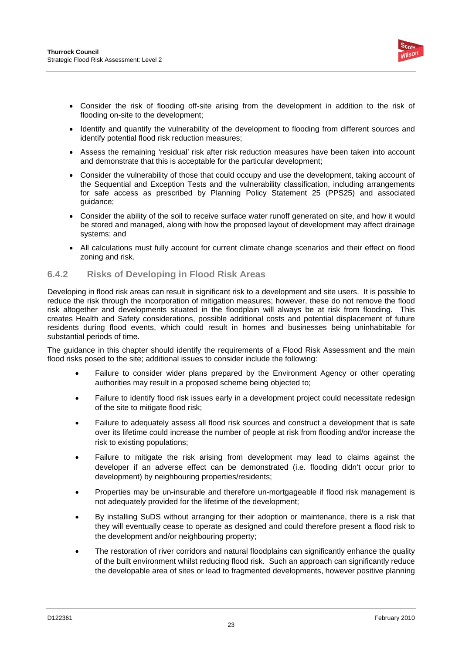

- Consider the risk of flooding off-site arising from the development in addition to the risk of flooding on-site to the development;
- Identify and quantify the vulnerability of the development to flooding from different sources and identify potential flood risk reduction measures;
- Assess the remaining 'residual' risk after risk reduction measures have been taken into account and demonstrate that this is acceptable for the particular development;
- Consider the vulnerability of those that could occupy and use the development, taking account of the Sequential and Exception Tests and the vulnerability classification, including arrangements for safe access as prescribed by Planning Policy Statement 25 (PPS25) and associated guidance;
- Consider the ability of the soil to receive surface water runoff generated on site, and how it would be stored and managed, along with how the proposed layout of development may affect drainage systems; and
- All calculations must fully account for current climate change scenarios and their effect on flood zoning and risk.

### **6.4.2 Risks of Developing in Flood Risk Areas**

Developing in flood risk areas can result in significant risk to a development and site users. It is possible to reduce the risk through the incorporation of mitigation measures; however, these do not remove the flood risk altogether and developments situated in the floodplain will always be at risk from flooding. This creates Health and Safety considerations, possible additional costs and potential displacement of future residents during flood events, which could result in homes and businesses being uninhabitable for substantial periods of time.

The guidance in this chapter should identify the requirements of a Flood Risk Assessment and the main flood risks posed to the site; additional issues to consider include the following:

- Failure to consider wider plans prepared by the Environment Agency or other operating authorities may result in a proposed scheme being objected to;
- Failure to identify flood risk issues early in a development project could necessitate redesign of the site to mitigate flood risk;
- Failure to adequately assess all flood risk sources and construct a development that is safe over its lifetime could increase the number of people at risk from flooding and/or increase the risk to existing populations;
- Failure to mitigate the risk arising from development may lead to claims against the developer if an adverse effect can be demonstrated (i.e. flooding didn't occur prior to development) by neighbouring properties/residents;
- Properties may be un-insurable and therefore un-mortgageable if flood risk management is not adequately provided for the lifetime of the development;
- By installing SuDS without arranging for their adoption or maintenance, there is a risk that they will eventually cease to operate as designed and could therefore present a flood risk to the development and/or neighbouring property;
- The restoration of river corridors and natural floodplains can significantly enhance the quality of the built environment whilst reducing flood risk. Such an approach can significantly reduce the developable area of sites or lead to fragmented developments, however positive planning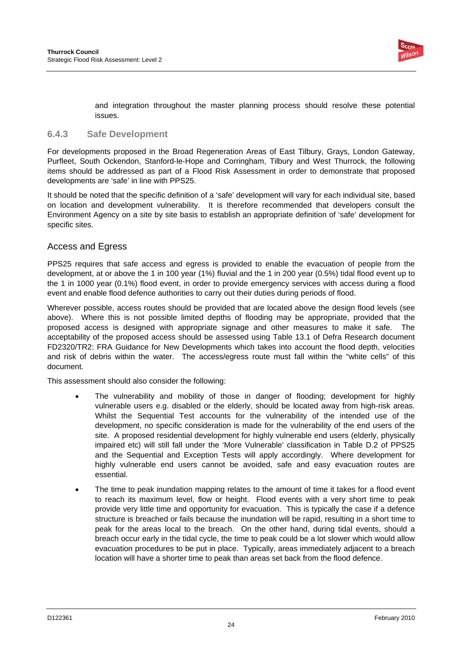

and integration throughout the master planning process should resolve these potential issues.

#### **6.4.3 Safe Development**

For developments proposed in the Broad Regeneration Areas of East Tilbury, Grays, London Gateway, Purfleet, South Ockendon, Stanford-le-Hope and Corringham, Tilbury and West Thurrock, the following items should be addressed as part of a Flood Risk Assessment in order to demonstrate that proposed developments are 'safe' in line with PPS25.

It should be noted that the specific definition of a 'safe' development will vary for each individual site, based on location and development vulnerability. It is therefore recommended that developers consult the Environment Agency on a site by site basis to establish an appropriate definition of 'safe' development for specific sites.

### Access and Egress

PPS25 requires that safe access and egress is provided to enable the evacuation of people from the development, at or above the 1 in 100 year (1%) fluvial and the 1 in 200 year (0.5%) tidal flood event up to the 1 in 1000 year (0.1%) flood event, in order to provide emergency services with access during a flood event and enable flood defence authorities to carry out their duties during periods of flood.

Wherever possible, access routes should be provided that are located above the design flood levels (see above). Where this is not possible limited depths of flooding may be appropriate, provided that the proposed access is designed with appropriate signage and other measures to make it safe. The acceptability of the proposed access should be assessed using Table 13.1 of Defra Research document FD2320/TR2: FRA Guidance for New Developments which takes into account the flood depth, velocities and risk of debris within the water. The access/egress route must fall within the "white cells" of this document.

This assessment should also consider the following:

- The vulnerability and mobility of those in danger of flooding; development for highly vulnerable users e.g. disabled or the elderly, should be located away from high-risk areas. Whilst the Sequential Test accounts for the vulnerability of the intended use of the development, no specific consideration is made for the vulnerability of the end users of the site. A proposed residential development for highly vulnerable end users (elderly, physically impaired etc) will still fall under the 'More Vulnerable' classification in Table D.2 of PPS25 and the Sequential and Exception Tests will apply accordingly. Where development for highly vulnerable end users cannot be avoided, safe and easy evacuation routes are essential.
- The time to peak inundation mapping relates to the amount of time it takes for a flood event to reach its maximum level, flow or height. Flood events with a very short time to peak provide very little time and opportunity for evacuation. This is typically the case if a defence structure is breached or fails because the inundation will be rapid, resulting in a short time to peak for the areas local to the breach. On the other hand, during tidal events, should a breach occur early in the tidal cycle, the time to peak could be a lot slower which would allow evacuation procedures to be put in place. Typically, areas immediately adjacent to a breach location will have a shorter time to peak than areas set back from the flood defence.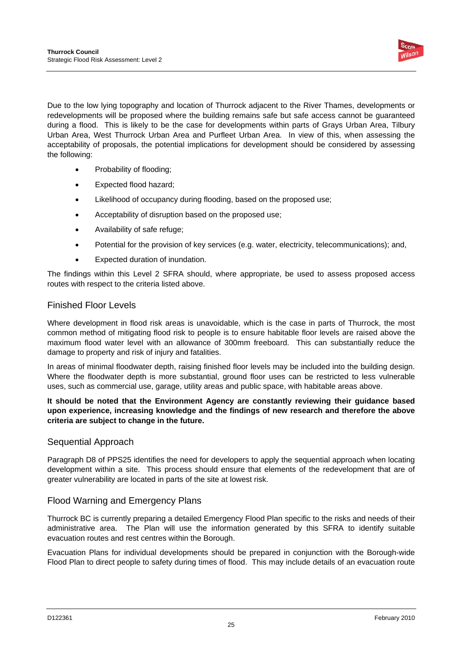

Due to the low lying topography and location of Thurrock adjacent to the River Thames, developments or redevelopments will be proposed where the building remains safe but safe access cannot be guaranteed during a flood. This is likely to be the case for developments within parts of Grays Urban Area, Tilbury Urban Area, West Thurrock Urban Area and Purfleet Urban Area. In view of this, when assessing the acceptability of proposals, the potential implications for development should be considered by assessing the following:

- Probability of flooding:
- Expected flood hazard;
- Likelihood of occupancy during flooding, based on the proposed use;
- Acceptability of disruption based on the proposed use;
- Availability of safe refuge;
- Potential for the provision of key services (e.g. water, electricity, telecommunications); and,
- Expected duration of inundation.

The findings within this Level 2 SFRA should, where appropriate, be used to assess proposed access routes with respect to the criteria listed above.

### Finished Floor Levels

Where development in flood risk areas is unavoidable, which is the case in parts of Thurrock, the most common method of mitigating flood risk to people is to ensure habitable floor levels are raised above the maximum flood water level with an allowance of 300mm freeboard. This can substantially reduce the damage to property and risk of injury and fatalities.

In areas of minimal floodwater depth, raising finished floor levels may be included into the building design. Where the floodwater depth is more substantial, ground floor uses can be restricted to less vulnerable uses, such as commercial use, garage, utility areas and public space, with habitable areas above.

### **It should be noted that the Environment Agency are constantly reviewing their guidance based upon experience, increasing knowledge and the findings of new research and therefore the above criteria are subject to change in the future.**

### Sequential Approach

Paragraph D8 of PPS25 identifies the need for developers to apply the sequential approach when locating development within a site. This process should ensure that elements of the redevelopment that are of greater vulnerability are located in parts of the site at lowest risk.

### Flood Warning and Emergency Plans

Thurrock BC is currently preparing a detailed Emergency Flood Plan specific to the risks and needs of their administrative area. The Plan will use the information generated by this SFRA to identify suitable evacuation routes and rest centres within the Borough.

Evacuation Plans for individual developments should be prepared in conjunction with the Borough-wide Flood Plan to direct people to safety during times of flood. This may include details of an evacuation route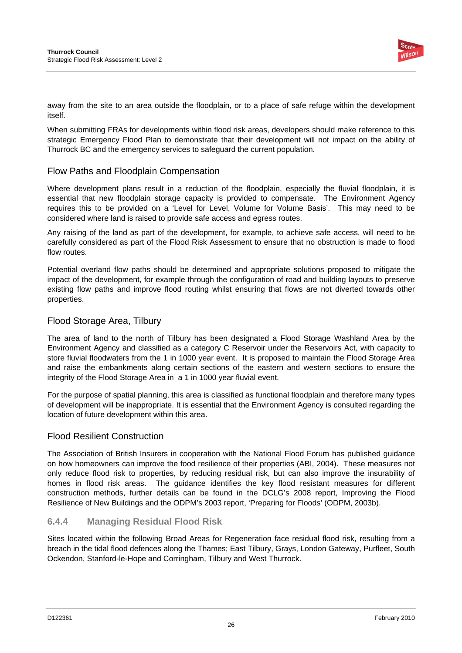

away from the site to an area outside the floodplain, or to a place of safe refuge within the development itself.

When submitting FRAs for developments within flood risk areas, developers should make reference to this strategic Emergency Flood Plan to demonstrate that their development will not impact on the ability of Thurrock BC and the emergency services to safeguard the current population.

### Flow Paths and Floodplain Compensation

Where development plans result in a reduction of the floodplain, especially the fluvial floodplain, it is essential that new floodplain storage capacity is provided to compensate. The Environment Agency requires this to be provided on a 'Level for Level, Volume for Volume Basis'. This may need to be considered where land is raised to provide safe access and egress routes.

Any raising of the land as part of the development, for example, to achieve safe access, will need to be carefully considered as part of the Flood Risk Assessment to ensure that no obstruction is made to flood flow routes.

Potential overland flow paths should be determined and appropriate solutions proposed to mitigate the impact of the development, for example through the configuration of road and building layouts to preserve existing flow paths and improve flood routing whilst ensuring that flows are not diverted towards other properties.

### Flood Storage Area, Tilbury

The area of land to the north of Tilbury has been designated a Flood Storage Washland Area by the Environment Agency and classified as a category C Reservoir under the Reservoirs Act, with capacity to store fluvial floodwaters from the 1 in 1000 year event. It is proposed to maintain the Flood Storage Area and raise the embankments along certain sections of the eastern and western sections to ensure the integrity of the Flood Storage Area in a 1 in 1000 year fluvial event.

For the purpose of spatial planning, this area is classified as functional floodplain and therefore many types of development will be inappropriate. It is essential that the Environment Agency is consulted regarding the location of future development within this area.

### Flood Resilient Construction

The Association of British Insurers in cooperation with the National Flood Forum has published guidance on how homeowners can improve the food resilience of their properties (ABI, 2004). These measures not only reduce flood risk to properties, by reducing residual risk, but can also improve the insurability of homes in flood risk areas. The guidance identifies the key flood resistant measures for different construction methods, further details can be found in the DCLG's 2008 report, Improving the Flood Resilience of New Buildings and the ODPM's 2003 report, 'Preparing for Floods' (ODPM, 2003b).

### **6.4.4 Managing Residual Flood Risk**

Sites located within the following Broad Areas for Regeneration face residual flood risk, resulting from a breach in the tidal flood defences along the Thames; East Tilbury, Grays, London Gateway, Purfleet, South Ockendon, Stanford-le-Hope and Corringham, Tilbury and West Thurrock.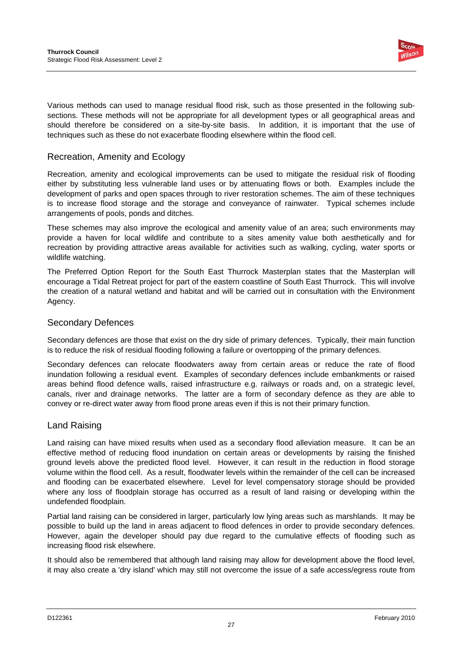

Various methods can used to manage residual flood risk, such as those presented in the following subsections. These methods will not be appropriate for all development types or all geographical areas and should therefore be considered on a site-by-site basis. In addition, it is important that the use of techniques such as these do not exacerbate flooding elsewhere within the flood cell.

### Recreation, Amenity and Ecology

Recreation, amenity and ecological improvements can be used to mitigate the residual risk of flooding either by substituting less vulnerable land uses or by attenuating flows or both. Examples include the development of parks and open spaces through to river restoration schemes. The aim of these techniques is to increase flood storage and the storage and conveyance of rainwater. Typical schemes include arrangements of pools, ponds and ditches.

These schemes may also improve the ecological and amenity value of an area; such environments may provide a haven for local wildlife and contribute to a sites amenity value both aesthetically and for recreation by providing attractive areas available for activities such as walking, cycling, water sports or wildlife watching.

The Preferred Option Report for the South East Thurrock Masterplan states that the Masterplan will encourage a Tidal Retreat project for part of the eastern coastline of South East Thurrock. This will involve the creation of a natural wetland and habitat and will be carried out in consultation with the Environment Agency.

### Secondary Defences

Secondary defences are those that exist on the dry side of primary defences. Typically, their main function is to reduce the risk of residual flooding following a failure or overtopping of the primary defences.

Secondary defences can relocate floodwaters away from certain areas or reduce the rate of flood inundation following a residual event. Examples of secondary defences include embankments or raised areas behind flood defence walls, raised infrastructure e.g. railways or roads and, on a strategic level, canals, river and drainage networks. The latter are a form of secondary defence as they are able to convey or re-direct water away from flood prone areas even if this is not their primary function.

### Land Raising

Land raising can have mixed results when used as a secondary flood alleviation measure. It can be an effective method of reducing flood inundation on certain areas or developments by raising the finished ground levels above the predicted flood level. However, it can result in the reduction in flood storage volume within the flood cell. As a result, floodwater levels within the remainder of the cell can be increased and flooding can be exacerbated elsewhere. Level for level compensatory storage should be provided where any loss of floodplain storage has occurred as a result of land raising or developing within the undefended floodplain.

Partial land raising can be considered in larger, particularly low lying areas such as marshlands. It may be possible to build up the land in areas adjacent to flood defences in order to provide secondary defences. However, again the developer should pay due regard to the cumulative effects of flooding such as increasing flood risk elsewhere.

It should also be remembered that although land raising may allow for development above the flood level, it may also create a 'dry island' which may still not overcome the issue of a safe access/egress route from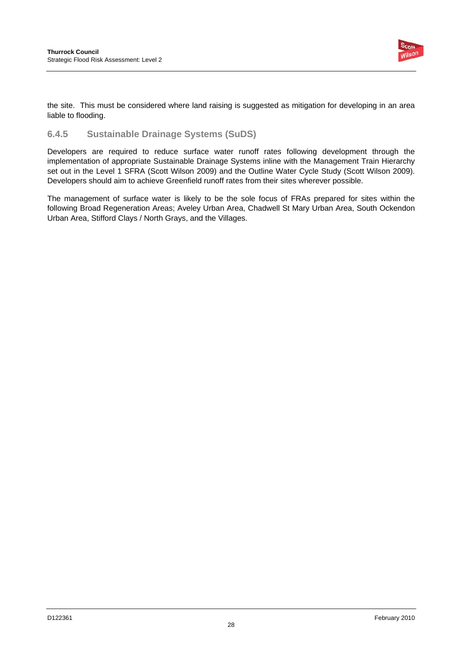

the site. This must be considered where land raising is suggested as mitigation for developing in an area liable to flooding.

### **6.4.5 Sustainable Drainage Systems (SuDS)**

Developers are required to reduce surface water runoff rates following development through the implementation of appropriate Sustainable Drainage Systems inline with the Management Train Hierarchy set out in the Level 1 SFRA (Scott Wilson 2009) and the Outline Water Cycle Study (Scott Wilson 2009). Developers should aim to achieve Greenfield runoff rates from their sites wherever possible.

The management of surface water is likely to be the sole focus of FRAs prepared for sites within the following Broad Regeneration Areas; Aveley Urban Area, Chadwell St Mary Urban Area, South Ockendon Urban Area, Stifford Clays / North Grays, and the Villages.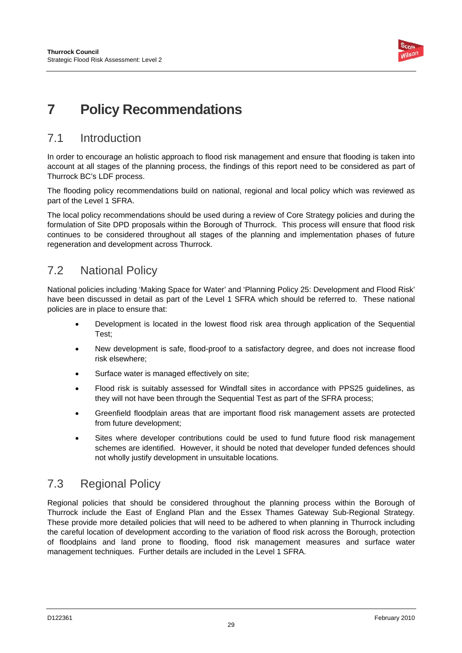

# **7 Policy Recommendations**

## 7.1 Introduction

In order to encourage an holistic approach to flood risk management and ensure that flooding is taken into account at all stages of the planning process, the findings of this report need to be considered as part of Thurrock BC's LDF process.

The flooding policy recommendations build on national, regional and local policy which was reviewed as part of the Level 1 SFRA.

The local policy recommendations should be used during a review of Core Strategy policies and during the formulation of Site DPD proposals within the Borough of Thurrock. This process will ensure that flood risk continues to be considered throughout all stages of the planning and implementation phases of future regeneration and development across Thurrock.

## 7.2 National Policy

National policies including 'Making Space for Water' and 'Planning Policy 25: Development and Flood Risk' have been discussed in detail as part of the Level 1 SFRA which should be referred to. These national policies are in place to ensure that:

- Development is located in the lowest flood risk area through application of the Sequential Test;
- New development is safe, flood-proof to a satisfactory degree, and does not increase flood risk elsewhere;
- Surface water is managed effectively on site:
- Flood risk is suitably assessed for Windfall sites in accordance with PPS25 guidelines, as they will not have been through the Sequential Test as part of the SFRA process;
- Greenfield floodplain areas that are important flood risk management assets are protected from future development;
- Sites where developer contributions could be used to fund future flood risk management schemes are identified. However, it should be noted that developer funded defences should not wholly justify development in unsuitable locations.

## 7.3 Regional Policy

Regional policies that should be considered throughout the planning process within the Borough of Thurrock include the East of England Plan and the Essex Thames Gateway Sub-Regional Strategy. These provide more detailed policies that will need to be adhered to when planning in Thurrock including the careful location of development according to the variation of flood risk across the Borough, protection of floodplains and land prone to flooding, flood risk management measures and surface water management techniques. Further details are included in the Level 1 SFRA.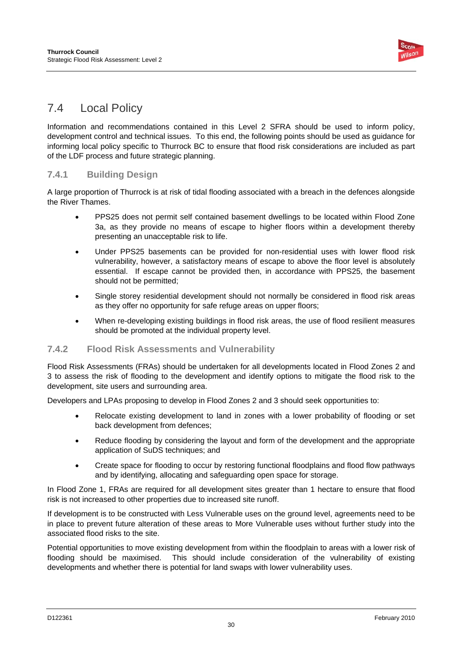

## 7.4 Local Policy

Information and recommendations contained in this Level 2 SFRA should be used to inform policy, development control and technical issues. To this end, the following points should be used as guidance for informing local policy specific to Thurrock BC to ensure that flood risk considerations are included as part of the LDF process and future strategic planning.

### **7.4.1 Building Design**

A large proportion of Thurrock is at risk of tidal flooding associated with a breach in the defences alongside the River Thames.

- PPS25 does not permit self contained basement dwellings to be located within Flood Zone 3a, as they provide no means of escape to higher floors within a development thereby presenting an unacceptable risk to life.
- Under PPS25 basements can be provided for non-residential uses with lower flood risk vulnerability, however, a satisfactory means of escape to above the floor level is absolutely essential. If escape cannot be provided then, in accordance with PPS25, the basement should not be permitted;
- Single storey residential development should not normally be considered in flood risk areas as they offer no opportunity for safe refuge areas on upper floors;
- When re-developing existing buildings in flood risk areas, the use of flood resilient measures should be promoted at the individual property level.

### **7.4.2 Flood Risk Assessments and Vulnerability**

Flood Risk Assessments (FRAs) should be undertaken for all developments located in Flood Zones 2 and 3 to assess the risk of flooding to the development and identify options to mitigate the flood risk to the development, site users and surrounding area.

Developers and LPAs proposing to develop in Flood Zones 2 and 3 should seek opportunities to:

- Relocate existing development to land in zones with a lower probability of flooding or set back development from defences;
- Reduce flooding by considering the layout and form of the development and the appropriate application of SuDS techniques; and
- Create space for flooding to occur by restoring functional floodplains and flood flow pathways and by identifying, allocating and safeguarding open space for storage.

In Flood Zone 1, FRAs are required for all development sites greater than 1 hectare to ensure that flood risk is not increased to other properties due to increased site runoff.

If development is to be constructed with Less Vulnerable uses on the ground level, agreements need to be in place to prevent future alteration of these areas to More Vulnerable uses without further study into the associated flood risks to the site.

Potential opportunities to move existing development from within the floodplain to areas with a lower risk of flooding should be maximised. This should include consideration of the vulnerability of existing developments and whether there is potential for land swaps with lower vulnerability uses.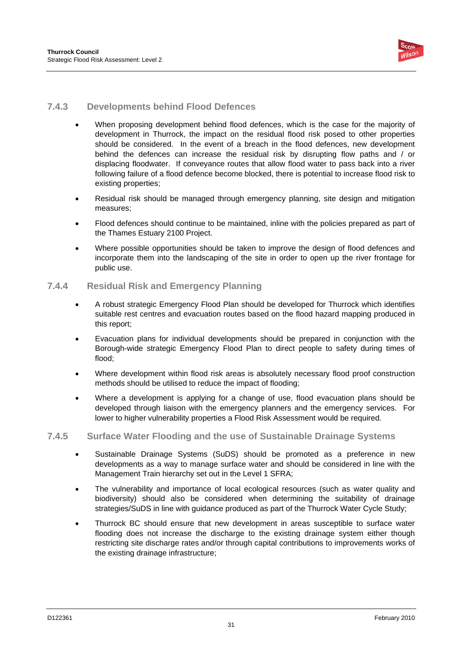

### **7.4.3 Developments behind Flood Defences**

- When proposing development behind flood defences, which is the case for the majority of development in Thurrock, the impact on the residual flood risk posed to other properties should be considered. In the event of a breach in the flood defences, new development behind the defences can increase the residual risk by disrupting flow paths and / or displacing floodwater. If conveyance routes that allow flood water to pass back into a river following failure of a flood defence become blocked, there is potential to increase flood risk to existing properties:
- Residual risk should be managed through emergency planning, site design and mitigation measures;
- Flood defences should continue to be maintained, inline with the policies prepared as part of the Thames Estuary 2100 Project.
- Where possible opportunities should be taken to improve the design of flood defences and incorporate them into the landscaping of the site in order to open up the river frontage for public use.

### **7.4.4 Residual Risk and Emergency Planning**

- A robust strategic Emergency Flood Plan should be developed for Thurrock which identifies suitable rest centres and evacuation routes based on the flood hazard mapping produced in this report;
- Evacuation plans for individual developments should be prepared in conjunction with the Borough-wide strategic Emergency Flood Plan to direct people to safety during times of flood;
- Where development within flood risk areas is absolutely necessary flood proof construction methods should be utilised to reduce the impact of flooding;
- Where a development is applying for a change of use, flood evacuation plans should be developed through liaison with the emergency planners and the emergency services. For lower to higher vulnerability properties a Flood Risk Assessment would be required.

### **7.4.5 Surface Water Flooding and the use of Sustainable Drainage Systems**

- Sustainable Drainage Systems (SuDS) should be promoted as a preference in new developments as a way to manage surface water and should be considered in line with the Management Train hierarchy set out in the Level 1 SFRA;
- The vulnerability and importance of local ecological resources (such as water quality and biodiversity) should also be considered when determining the suitability of drainage strategies/SuDS in line with guidance produced as part of the Thurrock Water Cycle Study;
- Thurrock BC should ensure that new development in areas susceptible to surface water flooding does not increase the discharge to the existing drainage system either though restricting site discharge rates and/or through capital contributions to improvements works of the existing drainage infrastructure;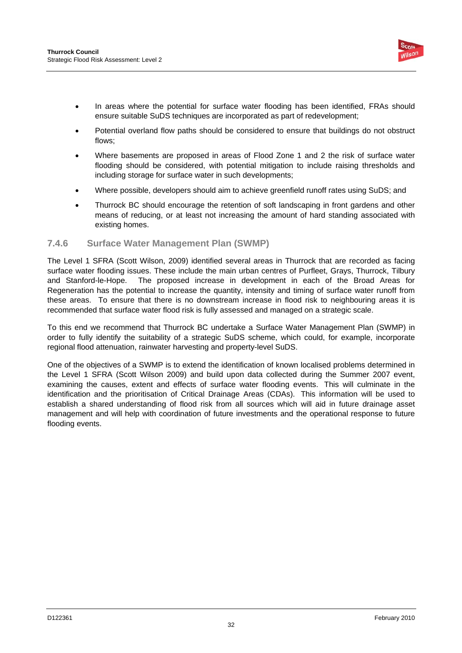

- In areas where the potential for surface water flooding has been identified, FRAs should ensure suitable SuDS techniques are incorporated as part of redevelopment;
- Potential overland flow paths should be considered to ensure that buildings do not obstruct flows;
- Where basements are proposed in areas of Flood Zone 1 and 2 the risk of surface water flooding should be considered, with potential mitigation to include raising thresholds and including storage for surface water in such developments;
- Where possible, developers should aim to achieve greenfield runoff rates using SuDS; and
- Thurrock BC should encourage the retention of soft landscaping in front gardens and other means of reducing, or at least not increasing the amount of hard standing associated with existing homes.

### **7.4.6 Surface Water Management Plan (SWMP)**

The Level 1 SFRA (Scott Wilson, 2009) identified several areas in Thurrock that are recorded as facing surface water flooding issues. These include the main urban centres of Purfleet, Grays, Thurrock, Tilbury and Stanford-le-Hope. The proposed increase in development in each of the Broad Areas for Regeneration has the potential to increase the quantity, intensity and timing of surface water runoff from these areas. To ensure that there is no downstream increase in flood risk to neighbouring areas it is recommended that surface water flood risk is fully assessed and managed on a strategic scale.

To this end we recommend that Thurrock BC undertake a Surface Water Management Plan (SWMP) in order to fully identify the suitability of a strategic SuDS scheme, which could, for example, incorporate regional flood attenuation, rainwater harvesting and property-level SuDS.

One of the objectives of a SWMP is to extend the identification of known localised problems determined in the Level 1 SFRA (Scott Wilson 2009) and build upon data collected during the Summer 2007 event, examining the causes, extent and effects of surface water flooding events. This will culminate in the identification and the prioritisation of Critical Drainage Areas (CDAs). This information will be used to establish a shared understanding of flood risk from all sources which will aid in future drainage asset management and will help with coordination of future investments and the operational response to future flooding events.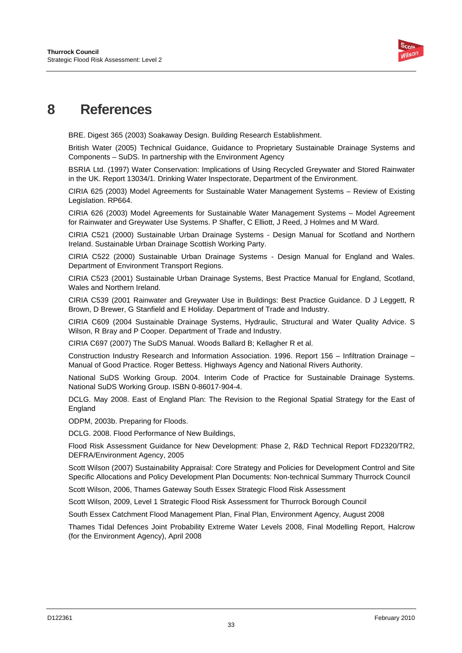

## **8 References**

BRE. Digest 365 (2003) Soakaway Design. Building Research Establishment.

British Water (2005) Technical Guidance, Guidance to Proprietary Sustainable Drainage Systems and Components – SuDS. In partnership with the Environment Agency

BSRIA Ltd. (1997) Water Conservation: Implications of Using Recycled Greywater and Stored Rainwater in the UK. Report 13034/1. Drinking Water Inspectorate, Department of the Environment.

CIRIA 625 (2003) Model Agreements for Sustainable Water Management Systems – Review of Existing Legislation. RP664.

CIRIA 626 (2003) Model Agreements for Sustainable Water Management Systems – Model Agreement for Rainwater and Greywater Use Systems. P Shaffer, C Elliott, J Reed, J Holmes and M Ward.

CIRIA C521 (2000) Sustainable Urban Drainage Systems - Design Manual for Scotland and Northern Ireland. Sustainable Urban Drainage Scottish Working Party.

CIRIA C522 (2000) Sustainable Urban Drainage Systems - Design Manual for England and Wales. Department of Environment Transport Regions.

CIRIA C523 (2001) Sustainable Urban Drainage Systems, Best Practice Manual for England, Scotland, Wales and Northern Ireland.

CIRIA C539 (2001 Rainwater and Greywater Use in Buildings: Best Practice Guidance. D J Leggett, R Brown, D Brewer, G Stanfield and E Holiday. Department of Trade and Industry.

CIRIA C609 (2004 Sustainable Drainage Systems, Hydraulic, Structural and Water Quality Advice. S Wilson, R Bray and P Cooper. Department of Trade and Industry.

CIRIA C697 (2007) The SuDS Manual. Woods Ballard B; Kellagher R et al.

Construction Industry Research and Information Association. 1996. Report 156 – Infiltration Drainage – Manual of Good Practice. Roger Bettess. Highways Agency and National Rivers Authority.

National SuDS Working Group. 2004. Interim Code of Practice for Sustainable Drainage Systems. National SuDS Working Group. ISBN 0-86017-904-4.

DCLG. May 2008. East of England Plan: The Revision to the Regional Spatial Strategy for the East of **England** 

ODPM, 2003b. Preparing for Floods.

DCLG. 2008. Flood Performance of New Buildings,

Flood Risk Assessment Guidance for New Development: Phase 2, R&D Technical Report FD2320/TR2, DEFRA/Environment Agency, 2005

Scott Wilson (2007) Sustainability Appraisal: Core Strategy and Policies for Development Control and Site Specific Allocations and Policy Development Plan Documents: Non-technical Summary Thurrock Council

Scott Wilson, 2006, Thames Gateway South Essex Strategic Flood Risk Assessment

Scott Wilson, 2009, Level 1 Strategic Flood Risk Assessment for Thurrock Borough Council

South Essex Catchment Flood Management Plan, Final Plan, Environment Agency, August 2008

Thames Tidal Defences Joint Probability Extreme Water Levels 2008, Final Modelling Report, Halcrow (for the Environment Agency), April 2008